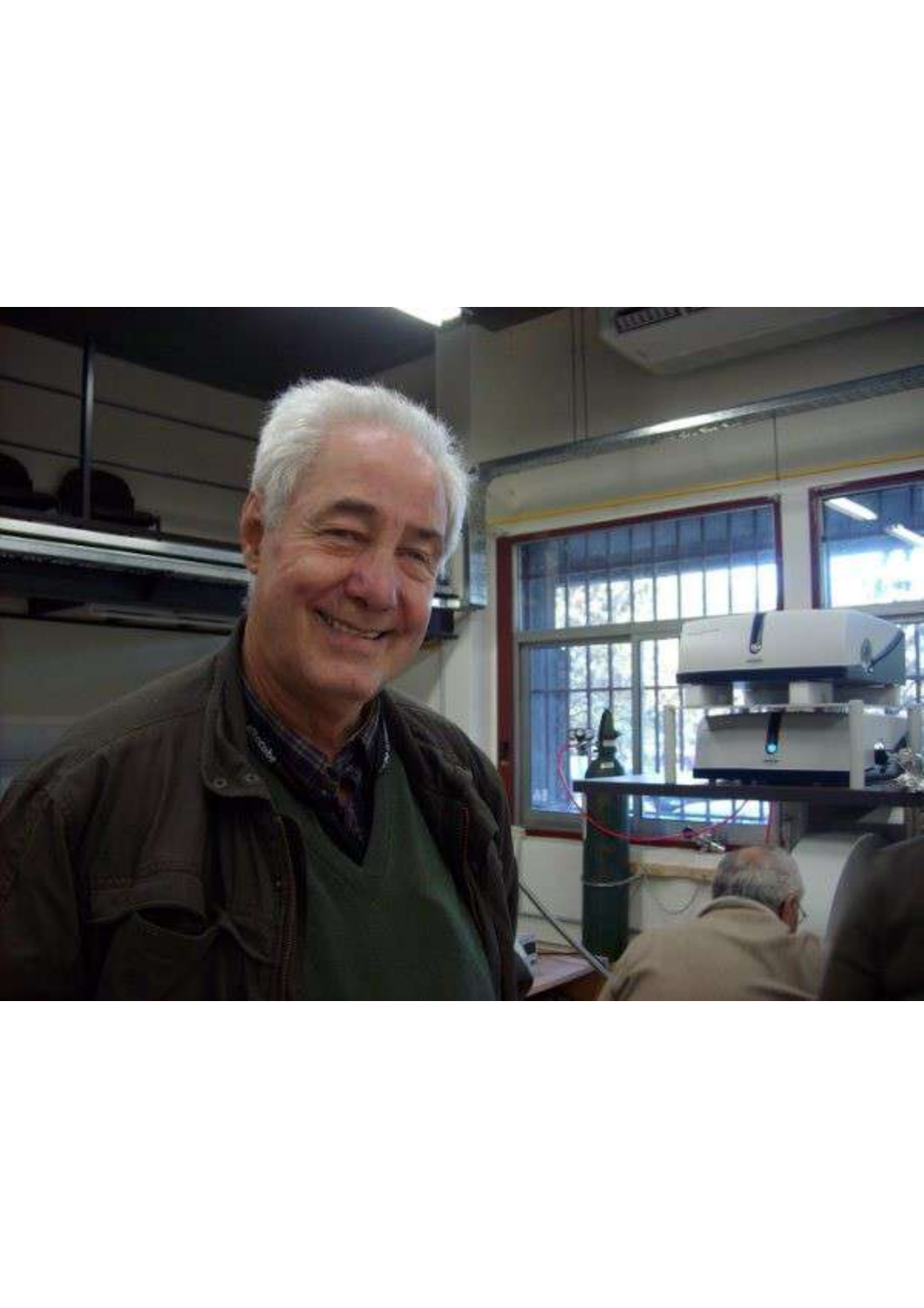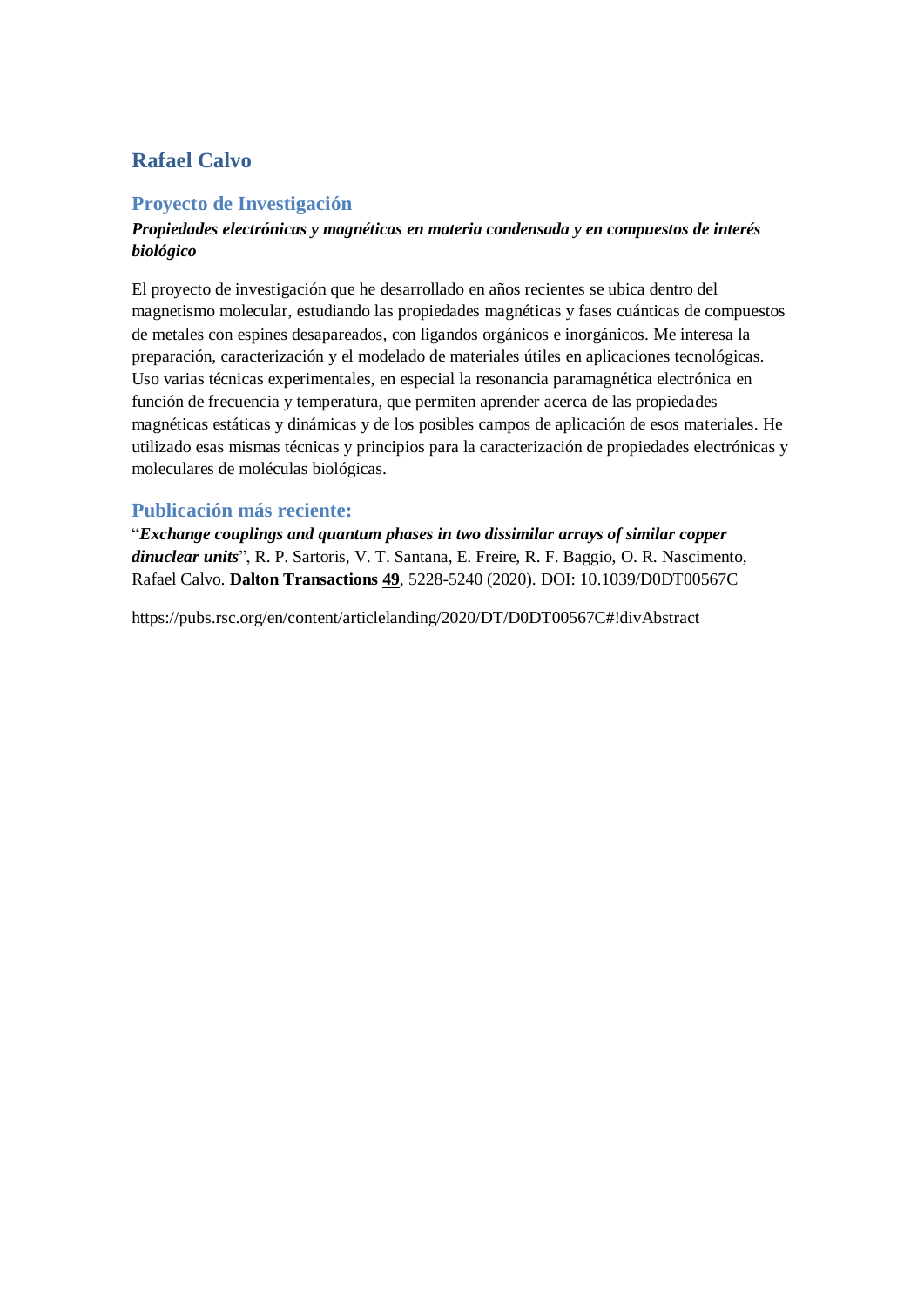# **Rafael Calvo**

### **Proyecto de Investigación**

#### *Propiedades electrónicas y magnéticas en materia condensada y en compuestos de interés biológico*

El proyecto de investigación que he desarrollado en años recientes se ubica dentro del magnetismo molecular, estudiando las propiedades magnéticas y fases cuánticas de compuestos de metales con espines desapareados, con ligandos orgánicos e inorgánicos. Me interesa la preparación, caracterización y el modelado de materiales útiles en aplicaciones tecnológicas. Uso varias técnicas experimentales, en especial la resonancia paramagnética electrónica en función de frecuencia y temperatura, que permiten aprender acerca de las propiedades magnéticas estáticas y dinámicas y de los posibles campos de aplicación de esos materiales. He utilizado esas mismas técnicas y principios para la caracterización de propiedades electrónicas y moleculares de moléculas biológicas.

### **Publicación más reciente:**

"*Exchange couplings and quantum phases in two dissimilar arrays of similar copper dinuclear units*", R. P. Sartoris, V. T. Santana, E. Freire, R. F. Baggio, O. R. Nascimento, Rafael Calvo. **Dalton Transactions 49**, 5228-5240 (2020). DOI: 10.1039/D0DT00567C

https://pubs.rsc.org/en/content/articlelanding/2020/DT/D0DT00567C#!divAbstract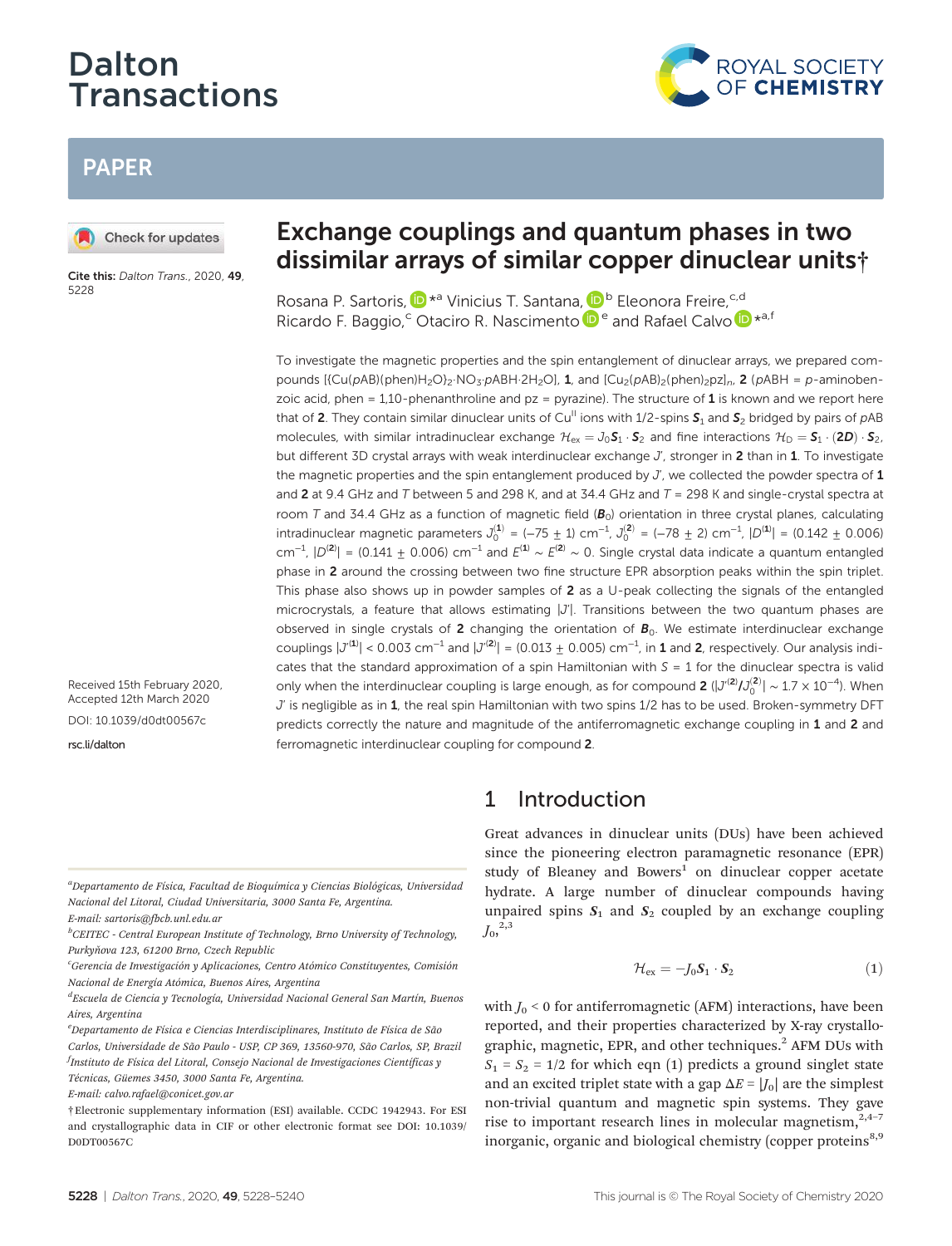# Dalton **Transactions**



# PAPER

Check for updates

Cite this: Dalton Trans., 2020, 49, 5228

# Exchange couplings and quantum phases in two dissimilar arrays of similar copper dinuclear units†

Rosana P. Sartoris,  $\mathbf{D}^{\star a}$  Vinicius T. Santana,  $\mathbf{D}^{\text{b}}$  Eleonora Freire, <sup>c,d</sup> Ricardo F. Baggio,<sup>c</sup> Otaciro R. Nascimento <sup>D</sup><sup>e</sup> and Rafael Calvo D<sup>\*a,f</sup>

To investigate the magnetic properties and the spin entanglement of dinuclear arrays, we prepared compounds  $[(Cu(pAB)(phen)H<sub>2</sub>O)<sub>2</sub>·NO<sub>3</sub>·pABH·2H<sub>2</sub>O]$ , 1, and  $[Cu<sub>2</sub>(pAB)<sub>2</sub>(phen)<sub>2</sub>pz]<sub>n</sub>$ , 2 (pABH = p-aminobenzoic acid, phen = 1,10-phenanthroline and  $pz = pyrazine$ ). The structure of 1 is known and we report here that of 2. They contain similar dinuclear units of Cu<sup>II</sup> ions with 1/2-spins  $S_1$  and  $S_2$  bridged by pairs of pAB molecules, with similar intradinuclear exchange  $\mathcal{H}_{ex} = J_0 \mathbf{S}_1 \cdot \mathbf{S}_2$  and fine interactions  $\mathcal{H}_D = \mathbf{S}_1 \cdot (\mathbf{2D}) \cdot \mathbf{S}_2$ but different 3D crystal arrays with weak interdinuclear exchange J', stronger in 2 than in 1. To investigate the magnetic properties and the spin entanglement produced by  $J'$ , we collected the powder spectra of  $1$ and 2 at 9.4 GHz and T between 5 and 298 K, and at 34.4 GHz and  $T = 298$  K and single-crystal spectra at room T and 34.4 GHz as a function of magnetic field  $(B<sub>0</sub>)$  orientation in three crystal planes, calculating intradinuclear magnetic parameters  $J_0^{(1)} = (-75 \pm 1) \text{ cm}^{-1}$ ,  $J_0^{(2)} = (-78 \pm 2) \text{ cm}^{-1}$ ,  $|D^{(1)}| = (0.142 \pm 0.006)$ cm<sup>-1</sup>,  $|D^{(2)}|$  = (0.141  $\pm$  0.006) cm<sup>-1</sup> and  $E^{(1)} \sim E^{(2)} \sim 0$ . Single crystal data indicate a quantum entangled phase in 2 around the crossing between two fine structure EPR absorption peaks within the spin triplet. This phase also shows up in powder samples of 2 as a U-peak collecting the signals of the entangled microcrystals, a feature that allows estimating  $|J'|$ . Transitions between the two quantum phases are observed in single crystals of 2 changing the orientation of  $B_0$ . We estimate interdinuclear exchange couplings  $|J^{(1)}|$  < 0.003 cm<sup>-1</sup> and  $|J^{(2)}|$  = (0.013  $\pm$  0.005) cm<sup>-1</sup>, in **1** and **2**, respectively. Our analysis indicates that the standard approximation of a spin Hamiltonian with  $S = 1$  for the dinuclear spectra is valid only when the interdinuclear coupling is large enough, as for compound 2 ( $|J^{(2)}/J_0^{(2)}| \sim 1.7 \times 10^{-4}$ ). When  $J'$  is negligible as in 1, the real spin Hamiltonian with two spins  $1/2$  has to be used. Broken-symmetry DFT predicts correctly the nature and magnitude of the antiferromagnetic exchange coupling in 1 and 2 and ferromagnetic interdinuclear coupling for compound 2.

Received 15th February 2020, Accepted 12th March 2020 DOI: 10.1039/d0dt00567c

rsc.li/dalton

### 1 Introduction

<sup>a</sup>Departamento de Física, Facultad de Bioquímica y Ciencias Biológicas, Universidad Nacional del Litoral, Ciudad Universitaria, 3000 Santa Fe, Argentina.

E-mail: sartoris@fbcb.unl.edu.ar

<sup>b</sup>CEITEC - Central European Institute of Technology, Brno University of Technology, Purkyňova 123, 61200 Brno, Czech Republic

<sup>c</sup>Gerencia de Investigación y Aplicaciones, Centro Atómico Constituyentes, Comisión Nacional de Energía Atómica, Buenos Aires, Argentina

<sup>d</sup>Escuela de Ciencia y Tecnología, Universidad Nacional General San Martín, Buenos Aires, Argentina

E-mail: calvo.rafael@conicet.gov.ar

Great advances in dinuclear units (DUs) have been achieved since the pioneering electron paramagnetic resonance (EPR) study of Bleaney and Bowers<sup>1</sup> on dinuclear copper acetate hydrate. A large number of dinuclear compounds having unpaired spins  $S_1$  and  $S_2$  coupled by an exchange coupling  $J_0^{2,3}$ 

$$
\mathcal{H}_{\rm ex} = -J_0 \mathbf{S}_1 \cdot \mathbf{S}_2 \tag{1}
$$

with  $J_0$  < 0 for antiferromagnetic (AFM) interactions, have been reported, and their properties characterized by X-ray crystallographic, magnetic, EPR, and other techniques.<sup>2</sup> AFM DUs with  $S_1 = S_2 = 1/2$  for which eqn (1) predicts a ground singlet state and an excited triplet state with a gap  $\Delta E = |J_0|$  are the simplest non-trivial quantum and magnetic spin systems. They gave rise to important research lines in molecular magnetism, $2,4-7$ inorganic, organic and biological chemistry (copper proteins<sup>8,9</sup>)

e Departamento de Física e Ciencias Interdisciplinares, Instituto de Física de São Carlos, Universidade de São Paulo - USP, CP 369, 13560-970, São Carlos, SP, Brazil <sup>f</sup>Instituto de Física del Litoral, Consejo Nacional de Investigaciones Científicas y Técnicas, Güemes 3450, 3000 Santa Fe, Argentina.

<sup>†</sup>Electronic supplementary information (ESI) available. CCDC 1942943. For ESI and crystallographic data in CIF or other electronic format see DOI: 10.1039/ D0DT00567C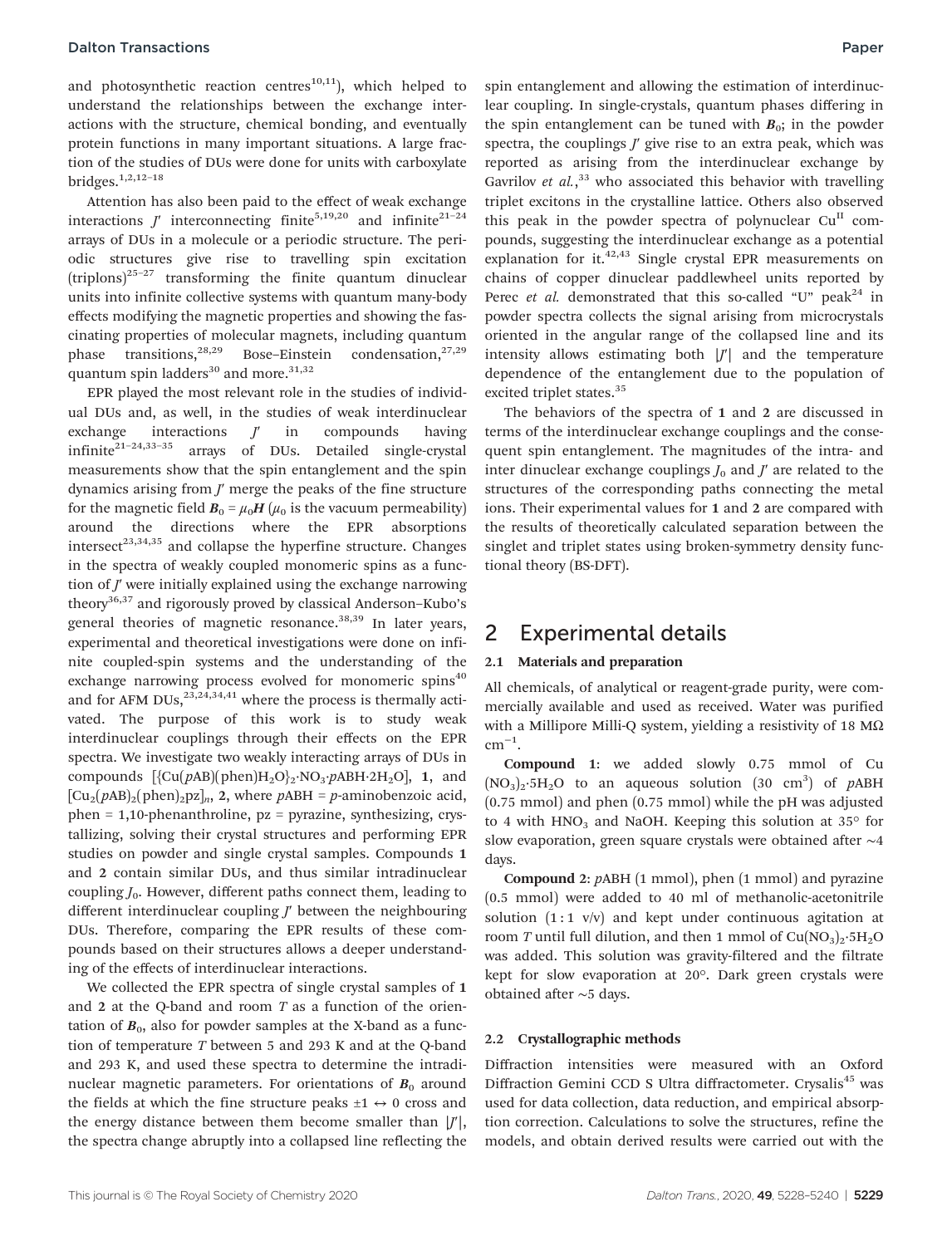and photosynthetic reaction centres<sup>10,11</sup>), which helped to understand the relationships between the exchange interactions with the structure, chemical bonding, and eventually protein functions in many important situations. A large fraction of the studies of DUs were done for units with carboxylate bridges.1,2,12–<sup>18</sup>

Attention has also been paid to the effect of weak exchange interactions  $J'$  interconnecting finite<sup>5,19,20</sup> and infinite<sup>21-24</sup> arrays of DUs in a molecule or a periodic structure. The periodic structures give rise to travelling spin excitation  $(triplons)$ <sup>25-27</sup> transforming the finite quantum dinuclear units into infinite collective systems with quantum many-body effects modifying the magnetic properties and showing the fascinating properties of molecular magnets, including quantum phase transitions,  $28,29$  Bose–Einstein condensation,  $27,29$ quantum spin ladders<sup>30</sup> and more.<sup>31,32</sup>

EPR played the most relevant role in the studies of individual DUs and, as well, in the studies of weak interdinuclear exchange interactions  $J'$  in compounds having  $infinite<sup>21-24,33-35</sup>$  arrays of DUs. Detailed single-crystal measurements show that the spin entanglement and the spin dynamics arising from J′ merge the peaks of the fine structure for the magnetic field  $B_0 = \mu_0 H (\mu_0$  is the vacuum permeability) around the directions where the EPR absorptions intersect<sup>23,34,35</sup> and collapse the hyperfine structure. Changes in the spectra of weakly coupled monomeric spins as a function of *I'* were initially explained using the exchange narrowing theory36,37 and rigorously proved by classical Anderson–Kubo's general theories of magnetic resonance.<sup>38,39</sup> In later years, experimental and theoretical investigations were done on infinite coupled-spin systems and the understanding of the exchange narrowing process evolved for monomeric spins<sup>40</sup> and for AFM DUs,  $23,24,34,41$  where the process is thermally activated. The purpose of this work is to study weak interdinuclear couplings through their effects on the EPR spectra. We investigate two weakly interacting arrays of DUs in compounds  $[\text{Cu}(pAB)(phen)H_2O_{2}NO_{3}pABH_2H_2O]$ , 1, and  $[Cu<sub>2</sub>(pAB)<sub>2</sub>(phen)<sub>2</sub>pz]<sub>n</sub>$ , 2, where pABH = p-aminobenzoic acid, phen = 1,10-phenanthroline, pz = pyrazine, synthesizing, crystallizing, solving their crystal structures and performing EPR studies on powder and single crystal samples. Compounds 1 and 2 contain similar DUs, and thus similar intradinuclear coupling  $J_0$ . However, different paths connect them, leading to different interdinuclear coupling  $J'$  between the neighbouring DUs. Therefore, comparing the EPR results of these compounds based on their structures allows a deeper understanding of the effects of interdinuclear interactions.

We collected the EPR spectra of single crystal samples of 1 and  $2$  at the Q-band and room  $T$  as a function of the orientation of  $B_0$ , also for powder samples at the X-band as a function of temperature T between 5 and 293 K and at the Q-band and 293 K, and used these spectra to determine the intradinuclear magnetic parameters. For orientations of  $B_0$  around the fields at which the fine structure peaks  $\pm 1 \leftrightarrow 0$  cross and the energy distance between them become smaller than  $|J'|$ , the spectra change abruptly into a collapsed line reflecting the

spin entanglement and allowing the estimation of interdinuclear coupling. In single-crystals, quantum phases differing in the spin entanglement can be tuned with  $B_0$ ; in the powder spectra, the couplings  $J'$  give rise to an extra peak, which was reported as arising from the interdinuclear exchange by Gavrilov et  $al$ ,<sup>33</sup> who associated this behavior with travelling triplet excitons in the crystalline lattice. Others also observed this peak in the powder spectra of polynuclear  $Cu<sup>H</sup>$  compounds, suggesting the interdinuclear exchange as a potential explanation for it.<sup>42,43</sup> Single crystal EPR measurements on chains of copper dinuclear paddlewheel units reported by Perec *et al.* demonstrated that this so-called "U" peak<sup>24</sup> in powder spectra collects the signal arising from microcrystals oriented in the angular range of the collapsed line and its intensity allows estimating both  $|J'|$  and the temperature dependence of the entanglement due to the population of excited triplet states.<sup>35</sup>

The behaviors of the spectra of 1 and 2 are discussed in terms of the interdinuclear exchange couplings and the consequent spin entanglement. The magnitudes of the intra- and inter dinuclear exchange couplings  $J_0$  and  $J'$  are related to the structures of the corresponding paths connecting the metal ions. Their experimental values for 1 and 2 are compared with the results of theoretically calculated separation between the singlet and triplet states using broken-symmetry density functional theory (BS-DFT).

### 2 Experimental details

#### 2.1 Materials and preparation

All chemicals, of analytical or reagent-grade purity, were commercially available and used as received. Water was purified with a Millipore Milli-Q system, yielding a resistivity of 18 MΩ cm−<sup>1</sup> .

Compound 1: we added slowly 0.75 mmol of Cu  $(NO<sub>3</sub>)<sub>2</sub>·5H<sub>2</sub>O$  to an aqueous solution  $(30 \text{ cm}^3)$  of pABH (0.75 mmol) and phen (0.75 mmol) while the pH was adjusted to 4 with  $HNO<sub>3</sub>$  and NaOH. Keeping this solution at 35 $^{\circ}$  for slow evaporation, green square crystals were obtained after ∼4 days.

Compound 2: pABH (1 mmol), phen (1 mmol) and pyrazine (0.5 mmol) were added to 40 ml of methanolic-acetonitrile solution  $(1:1 \text{ v/v})$  and kept under continuous agitation at room T until full dilution, and then 1 mmol of  $Cu(NO<sub>3</sub>)<sub>2</sub>·5H<sub>2</sub>O$ was added. This solution was gravity-filtered and the filtrate kept for slow evaporation at 20°. Dark green crystals were obtained after ∼5 days.

#### 2.2 Crystallographic methods

Diffraction intensities were measured with an Oxford Diffraction Gemini CCD S Ultra diffractometer. Crysalis<sup>45</sup> was used for data collection, data reduction, and empirical absorption correction. Calculations to solve the structures, refine the models, and obtain derived results were carried out with the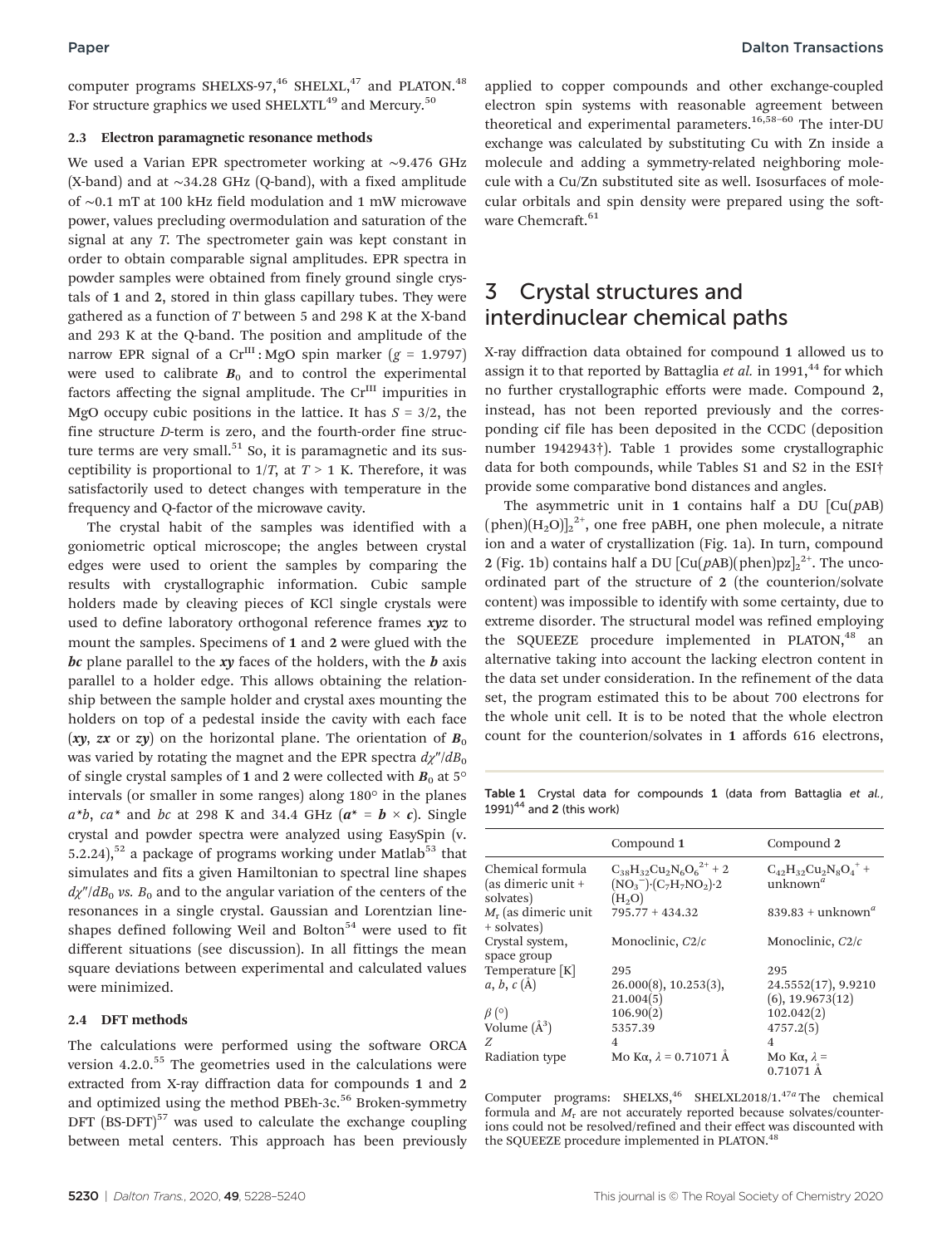computer programs SHELXS-97,<sup>46</sup> SHELXL,<sup>47</sup> and PLATON.<sup>48</sup> For structure graphics we used SHELXTL $^{49}$  and Mercury.<sup>50</sup>

#### 2.3 Electron paramagnetic resonance methods

We used a Varian EPR spectrometer working at ∼9.476 GHz (X-band) and at ∼34.28 GHz (Q-band), with a fixed amplitude of ∼0.1 mT at 100 kHz field modulation and 1 mW microwave power, values precluding overmodulation and saturation of the signal at any T. The spectrometer gain was kept constant in order to obtain comparable signal amplitudes. EPR spectra in powder samples were obtained from finely ground single crystals of 1 and 2, stored in thin glass capillary tubes. They were gathered as a function of T between 5 and 298 K at the X-band and 293 K at the Q-band. The position and amplitude of the narrow EPR signal of a  $Cr^{III}$ : MgO spin marker (g = 1.9797) were used to calibrate  $B_0$  and to control the experimental factors affecting the signal amplitude. The Cr<sup>III</sup> impurities in MgO occupy cubic positions in the lattice. It has  $S = 3/2$ , the fine structure D-term is zero, and the fourth-order fine structure terms are very small.<sup>51</sup> So, it is paramagnetic and its susceptibility is proportional to  $1/T$ , at  $T > 1$  K. Therefore, it was satisfactorily used to detect changes with temperature in the frequency and Q-factor of the microwave cavity.

The crystal habit of the samples was identified with a goniometric optical microscope; the angles between crystal edges were used to orient the samples by comparing the results with crystallographic information. Cubic sample holders made by cleaving pieces of KCl single crystals were used to define laboratory orthogonal reference frames  $xyz$  to mount the samples. Specimens of 1 and 2 were glued with the  $bc$  plane parallel to the  $xy$  faces of the holders, with the  $b$  axis parallel to a holder edge. This allows obtaining the relationship between the sample holder and crystal axes mounting the holders on top of a pedestal inside the cavity with each face  $(xy, zx \text{ or } xy)$  on the horizontal plane. The orientation of  $B_0$ was varied by rotating the magnet and the EPR spectra  $d\chi''/dB_0$ of single crystal samples of 1 and 2 were collected with  $B_0$  at 5° intervals (or smaller in some ranges) along 180° in the planes  $a * b$ ,  $ca *$  and bc at 298 K and 34.4 GHz  $(a * = b \times c)$ . Single crystal and powder spectra were analyzed using EasySpin (v. 5.2.24),<sup>52</sup> a package of programs working under Matlab<sup>53</sup> that simulates and fits a given Hamiltonian to spectral line shapes  $d\chi''/dB_0$  vs.  $B_0$  and to the angular variation of the centers of the resonances in a single crystal. Gaussian and Lorentzian lineshapes defined following Weil and Bolton<sup>54</sup> were used to fit different situations (see discussion). In all fittings the mean square deviations between experimental and calculated values were minimized.

#### 2.4 DFT methods

The calculations were performed using the software ORCA version  $4.2.0$ <sup>55</sup>. The geometries used in the calculations were extracted from X-ray diffraction data for compounds 1 and 2 and optimized using the method PBEh-3c.<sup>56</sup> Broken-symmetry DFT  $(BS-DFT)^{57}$  was used to calculate the exchange coupling between metal centers. This approach has been previously applied to copper compounds and other exchange-coupled electron spin systems with reasonable agreement between theoretical and experimental parameters.<sup>16,58-60</sup> The inter-DU exchange was calculated by substituting Cu with Zn inside a molecule and adding a symmetry-related neighboring molecule with a Cu/Zn substituted site as well. Isosurfaces of molecular orbitals and spin density were prepared using the software Chemeraft.<sup>61</sup>

## 3 Crystal structures and interdinuclear chemical paths

X-ray diffraction data obtained for compound 1 allowed us to assign it to that reported by Battaglia et al. in 1991, $^{44}$  for which no further crystallographic efforts were made. Compound 2, instead, has not been reported previously and the corresponding cif file has been deposited in the CCDC (deposition number 1942943†). Table 1 provides some crystallographic data for both compounds, while Tables S1 and S2 in the ESI† provide some comparative bond distances and angles.

The asymmetric unit in 1 contains half a DU  $\left[\text{Cu}(pAB)\right]$  $(\text{phen})(H_2O)]_2^2$ <sup>+</sup>, one free pABH, one phen molecule, a nitrate ion and a water of crystallization (Fig. 1a). In turn, compound 2 (Fig. 1b) contains half a DU  $\left[\textrm{Cu}(p\text{AB})(\text{phen})\text{pz}\right]_{2}^{2^{+}}$ . The uncoordinated part of the structure of 2 (the counterion/solvate content) was impossible to identify with some certainty, due to extreme disorder. The structural model was refined employing the SQUEEZE procedure implemented in PLATON,<sup>48</sup> an alternative taking into account the lacking electron content in the data set under consideration. In the refinement of the data set, the program estimated this to be about 700 electrons for the whole unit cell. It is to be noted that the whole electron count for the counterion/solvates in 1 affords 616 electrons,

Table 1 Crystal data for compounds 1 (data from Battaglia et al.,  $1991)^{44}$  and 2 (this work)

|                                                     | Compound 1                                                                         | Compound 2                                                        |
|-----------------------------------------------------|------------------------------------------------------------------------------------|-------------------------------------------------------------------|
| Chemical formula<br>(as dimeric unit +<br>solvates) | $C_{38}H_{32}Cu_2N_6O_6^{2+}+2$<br>$(NO_3^-) (C_7H_7NO_2)$ 2<br>(H <sub>2</sub> O) | $C_{42}H_{32}Cu_2N_8O_4^+$ +<br>unknown <sup><math>a</math></sup> |
| $M_{\rm r}$ (as dimeric unit<br>+ solvates)         | $795.77 + 434.32$                                                                  | $839.83 + \text{unknown}^a$                                       |
| Crystal system,<br>space group                      | Monoclinic, $C2/c$                                                                 | Monoclinic, $C2/c$                                                |
| Temperature [K]                                     | 295                                                                                | 295                                                               |
| a, b, c(A)                                          | $26.000(8)$ , 10.253(3),                                                           | 24.5552(17), 9.9210                                               |
|                                                     | 21.004(5)                                                                          | $(6)$ , 19.9673 $(12)$                                            |
| $\beta$ (°)                                         | 106.90(2)                                                                          | 102.042(2)                                                        |
| Volume $(\AA^3)$                                    | 5357.39                                                                            | 4757.2(5)                                                         |
| Z                                                   | $\overline{4}$                                                                     | 4                                                                 |
| Radiation type                                      | Mo K $\alpha$ , $\lambda$ = 0.71071 Å                                              | Mo Kα, $\lambda$ =<br>$0.71071 \text{ Å}$                         |

Computer programs: SHELXS,<sup>46</sup> SHELXL2018/1.<sup>47a</sup> The chemical formula and  $M_r$  are not accurately reported because solvates/counterions could not be resolved/refined and their effect was discounted with the SQUEEZE procedure implemented in PLATON.<sup>48</sup>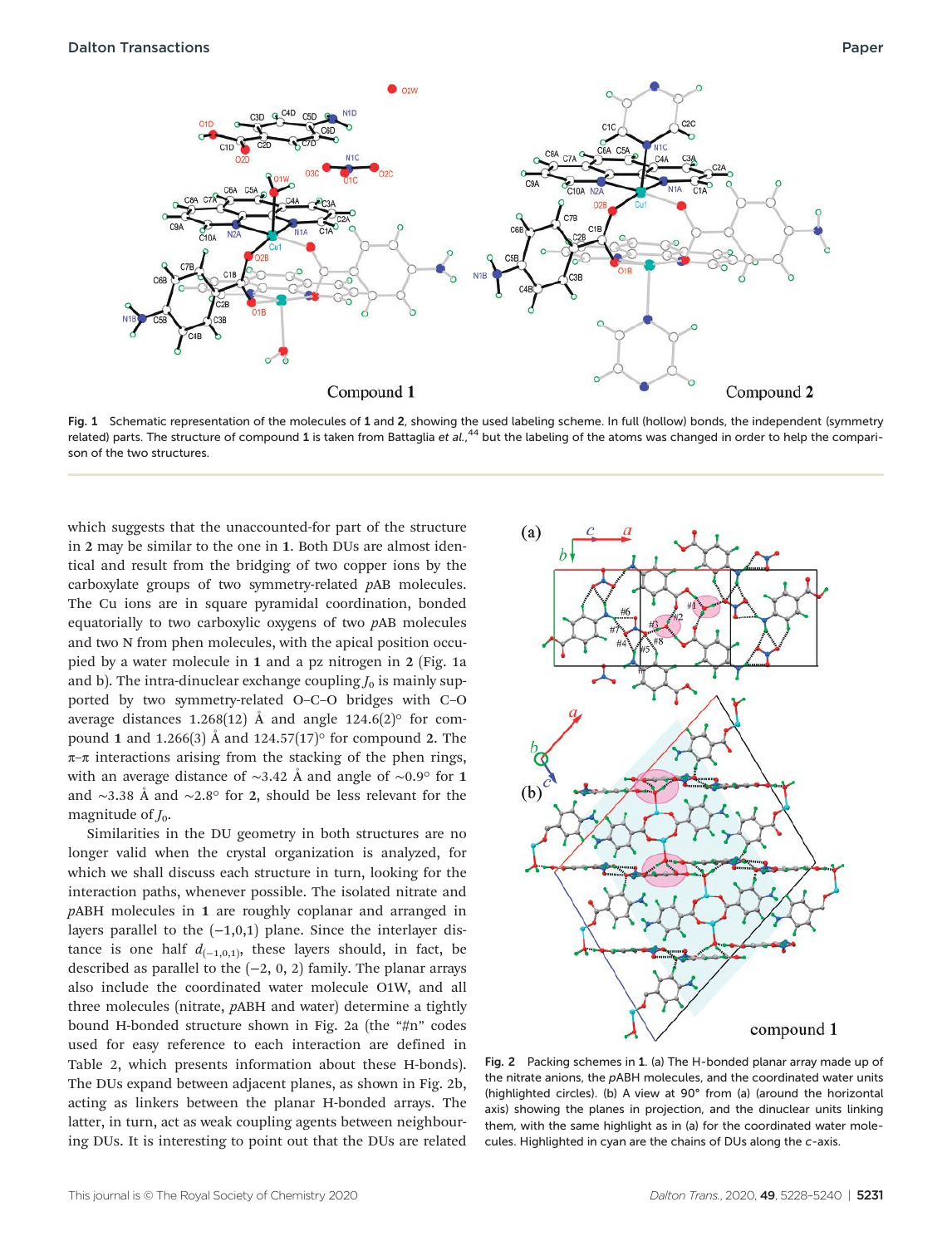

Fig. 1 Schematic representation of the molecules of 1 and 2, showing the used labeling scheme. In full (hollow) bonds, the independent (symmetry related) parts. The structure of compound 1 is taken from Battaglia *et al.,<sup>44</sup> but the labeling of the atoms was changed in order to help the compari*son of the two structures.

which suggests that the unaccounted-for part of the structure in 2 may be similar to the one in 1. Both DUs are almost identical and result from the bridging of two copper ions by the carboxylate groups of two symmetry-related pAB molecules. The Cu ions are in square pyramidal coordination, bonded equatorially to two carboxylic oxygens of two pAB molecules and two N from phen molecules, with the apical position occupied by a water molecule in 1 and a pz nitrogen in 2 (Fig. 1a and b). The intra-dinuclear exchange coupling  $J_0$  is mainly supported by two symmetry-related O–C–O bridges with C–O average distances 1.268(12) Å and angle  $124.6(2)$ <sup>o</sup> for compound 1 and 1.266(3) Å and 124.57(17)<sup>o</sup> for compound 2. The  $\pi$ -π interactions arising from the stacking of the phen rings, with an average distance of ∼3.42 Å and angle of ∼0.9° for 1 and ∼3.38 Å and ∼2.8° for 2, should be less relevant for the magnitude of  $I_0$ .

Similarities in the DU geometry in both structures are no longer valid when the crystal organization is analyzed, for which we shall discuss each structure in turn, looking for the interaction paths, whenever possible. The isolated nitrate and pABH molecules in 1 are roughly coplanar and arranged in layers parallel to the (−1,0,1) plane. Since the interlayer distance is one half  $d_{(-1,0,1)}$ , these layers should, in fact, be described as parallel to the  $(-2, 0, 2)$  family. The planar arrays also include the coordinated water molecule O1W, and all three molecules (nitrate, pABH and water) determine a tightly bound H-bonded structure shown in Fig. 2a (the "#n" codes used for easy reference to each interaction are defined in Table 2, which presents information about these H-bonds). The DUs expand between adjacent planes, as shown in Fig. 2b, acting as linkers between the planar H-bonded arrays. The latter, in turn, act as weak coupling agents between neighbouring DUs. It is interesting to point out that the DUs are related



Fig. 2 Packing schemes in 1. (a) The H-bonded planar array made up of the nitrate anions, the pABH molecules, and the coordinated water units (highlighted circles). (b) A view at 90° from (a) (around the horizontal axis) showing the planes in projection, and the dinuclear units linking them, with the same highlight as in (a) for the coordinated water molecules. Highlighted in cyan are the chains of DUs along the c-axis.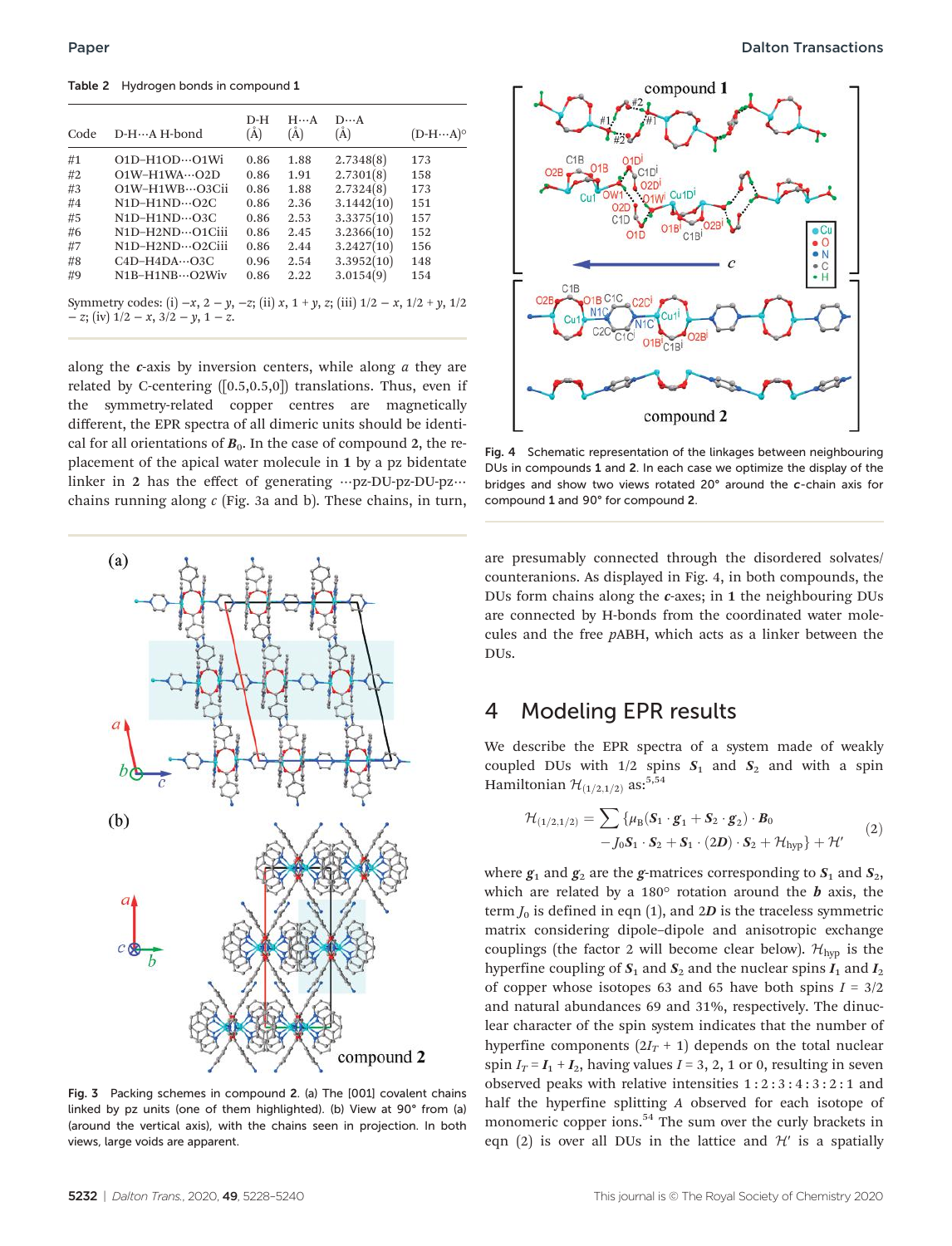Table 2 Hydrogen bonds in compound 1

| Code                                                                                                       | $D-HA$ H-bond                                          | $D-H$<br>(A) | $H \cdots A$<br>(Å) | $D \cdots A$<br>(A) | $(D-H\cdots A)^{\circ}$ |
|------------------------------------------------------------------------------------------------------------|--------------------------------------------------------|--------------|---------------------|---------------------|-------------------------|
| #1                                                                                                         | $O1D-H1ODO1Wi$                                         | 0.86         | 1.88                | 2.7348(8)           | 173                     |
| #2                                                                                                         | $O1W-H1WA\cdots O2D$                                   | 0.86         | 1.91                | 2.7301(8)           | 158                     |
| #3                                                                                                         | O1W-H1WB…O3Cii                                         | 0.86         | 1.88                | 2.7324(8)           | 173                     |
| #4                                                                                                         | $N1D-H1ND\cdots Q2C$                                   | 0.86         | 2.36                | 3.1442(10)          | 151                     |
| #5                                                                                                         | $N1D-H1ND\cdots O3C$                                   | 0.86         | 2.53                | 3.3375(10)          | 157                     |
| #6                                                                                                         | N <sub>1</sub> D-H <sub>2</sub> ND…O <sub>1</sub> Ciii | 0.86         | 2.45                | 3.2366(10)          | 152                     |
| #7                                                                                                         | N <sub>1</sub> D-H <sub>2</sub> ND…O <sub>2</sub> Ciii | 0.86         | 2.44                | 3.2427(10)          | 156                     |
| #8                                                                                                         | $C4D-H4DA\cdots$ O3C                                   | 0.96         | 2.54                | 3.3952(10)          | 148                     |
| #9                                                                                                         | $N1B-H1NB\cdots O2Wiv$                                 | 0.86         | 2.22                | 3.0154(9)           | 154                     |
| Symmetry codes: (i) $-x$ , $2 - y$ , $-z$ ; (ii) $x$ , $1 + y$ , $z$ ; (iii) $1/2 - x$ , $1/2 + y$ , $1/2$ |                                                        |              |                     |                     |                         |

 $-z$ ; (iv)  $1/2 - x$ ,  $3/2 - y$ ,  $1 - z$ .

along the  $c$ -axis by inversion centers, while along  $a$  they are related by C-centering ([0.5,0.5,0]) translations. Thus, even if the symmetry-related copper centres are magnetically different, the EPR spectra of all dimeric units should be identical for all orientations of  $B_0$ . In the case of compound 2, the replacement of the apical water molecule in 1 by a pz bidentate linker in 2 has the effect of generating …pz-DU-pz-DU-pz… chains running along  $c$  (Fig. 3a and b). These chains, in turn,



Fig. 3 Packing schemes in compound 2. (a) The [001] covalent chains linked by pz units (one of them highlighted). (b) View at 90° from (a) (around the vertical axis), with the chains seen in projection. In both views, large voids are apparent.



Fig. 4 Schematic representation of the linkages between neighbouring DUs in compounds 1 and 2. In each case we optimize the display of the bridges and show two views rotated 20° around the c-chain axis for compound 1 and 90° for compound 2.

are presumably connected through the disordered solvates/ counteranions. As displayed in Fig. 4, in both compounds, the DUs form chains along the c-axes; in <sup>1</sup> the neighbouring DUs are connected by H-bonds from the coordinated water molecules and the free pABH, which acts as a linker between the DUs.

### 4 Modeling EPR results

We describe the EPR spectra of a system made of weakly coupled DUs with  $1/2$  spins  $S_1$  and  $S_2$  and with a spin Hamiltonian  $\mathcal{H}_{(1/2,1/2)}$  as:<sup>5,54</sup>

$$
\mathcal{H}_{(1/2,1/2)} = \sum \{ \mu_\text{B} (\mathbf{S}_1 \cdot \mathbf{g}_1 + \mathbf{S}_2 \cdot \mathbf{g}_2) \cdot \mathbf{B}_0 - J_0 \mathbf{S}_1 \cdot \mathbf{S}_2 + \mathbf{S}_1 \cdot (2\mathbf{D}) \cdot \mathbf{S}_2 + \mathcal{H}_{\text{hyp}} \} + \mathcal{H}'
$$
\n(2)

where  $g_1$  and  $g_2$  are the g-matrices corresponding to  $S_1$  and  $S_2$ , which are related by a  $180^\circ$  rotation around the **b** axis, the term  $J_0$  is defined in eqn (1), and  $2D$  is the traceless symmetric matrix considering dipole–dipole and anisotropic exchange couplings (the factor 2 will become clear below).  $\mathcal{H}_{hyp}$  is the hyperfine coupling of  $S_1$  and  $S_2$  and the nuclear spins  $I_1$  and  $I_2$ of copper whose isotopes 63 and 65 have both spins  $I = 3/2$ and natural abundances 69 and 31%, respectively. The dinuclear character of the spin system indicates that the number of hyperfine components  $(2I_T + 1)$  depends on the total nuclear spin  $I_T = I_1 + I_2$ , having values  $I = 3, 2, 1$  or 0, resulting in seven observed peaks with relative intensities  $1:2:3:4:3:2:1$  and half the hyperfine splitting A observed for each isotope of monomeric copper ions.<sup>54</sup> The sum over the curly brackets in eqn (2) is over all DUs in the lattice and  $\mathcal{H}'$  is a spatially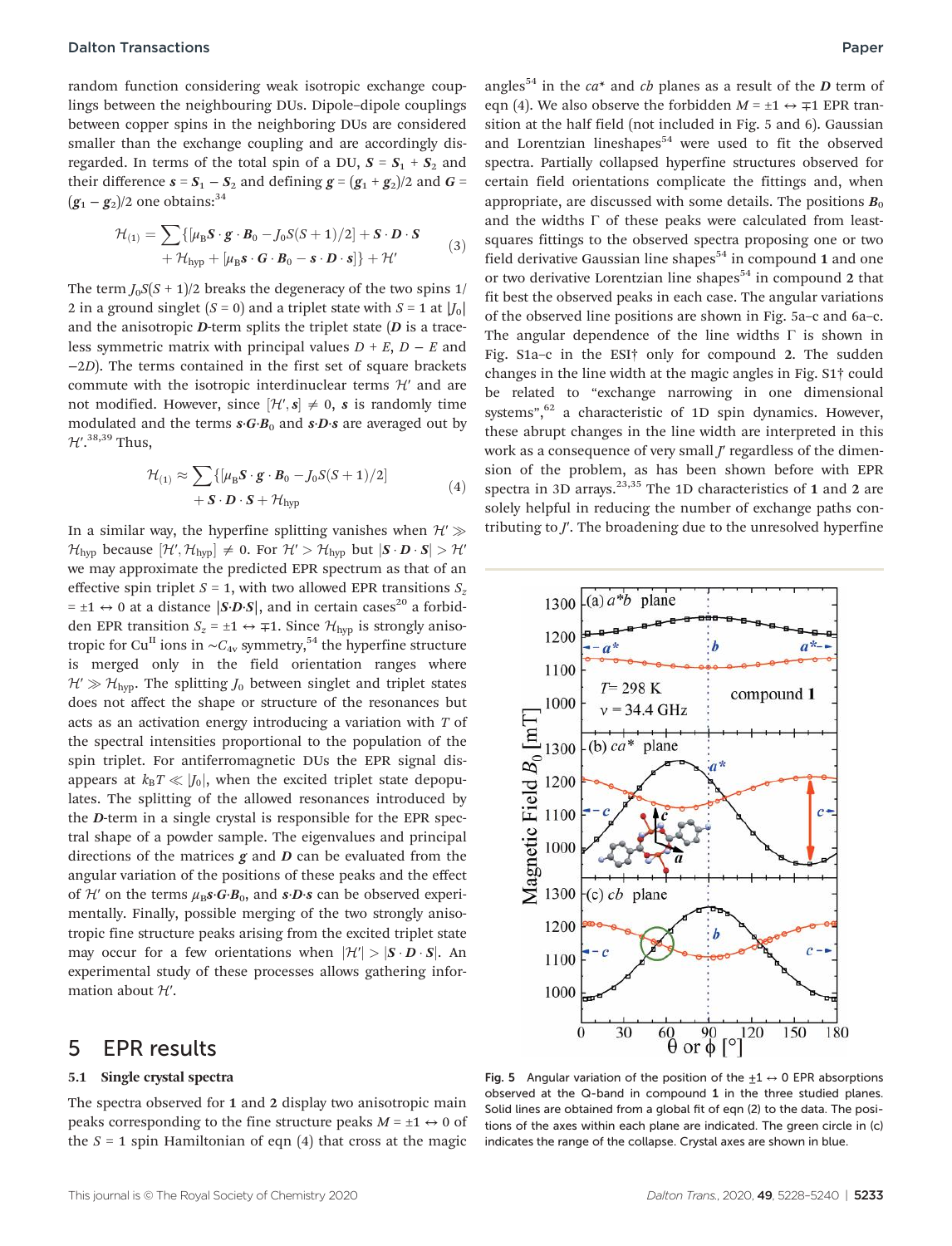random function considering weak isotropic exchange couplings between the neighbouring DUs. Dipole–dipole couplings between copper spins in the neighboring DUs are considered smaller than the exchange coupling and are accordingly disregarded. In terms of the total spin of a DU,  $S = S_1 + S_2$  and their difference  $s = S_1 - S_2$  and defining  $g = (g_1 + g_2)/2$  and  $G =$  $(g_1 - g_2)/2$  one obtains:<sup>34</sup>

$$
\mathcal{H}_{(1)} = \sum \{ [\mu_B \mathbf{S} \cdot \mathbf{g} \cdot \mathbf{B}_0 - J_0 S(S+1)/2] + \mathbf{S} \cdot \mathbf{D} \cdot \mathbf{S} \n+ \mathcal{H}_{hyp} + [\mu_B \mathbf{s} \cdot \mathbf{G} \cdot \mathbf{B}_0 - \mathbf{s} \cdot \mathbf{D} \cdot \mathbf{s}] \} + \mathcal{H}'
$$
\n(3)

The term  $J_0S(S + 1)/2$  breaks the degeneracy of the two spins 1/ 2 in a ground singlet  $(S = 0)$  and a triplet state with  $S = 1$  at  $|J_0|$ and the anisotropic  $D$ -term splits the triplet state  $(D)$  is a traceless symmetric matrix with principal values  $D + E$ ,  $D - E$  and −2D). The terms contained in the first set of square brackets commute with the isotropic interdinuclear terms  $\mathcal{H}'$  and are not modified. However, since  $[\mathcal{H}', s] \neq 0$ , s is randomly time modulated and the terms  $\mathbf{s} \cdot \mathbf{G} \cdot \mathbf{B}_0$  and  $\mathbf{s} \cdot \mathbf{D} \cdot \mathbf{s}$  are averaged out by  $\mathcal{H}'.^{38,39}$  Thus,

$$
\mathcal{H}_{(1)} \approx \sum \{ [\mu_B \mathbf{S} \cdot \mathbf{g} \cdot \mathbf{B}_0 - J_0 S(S+1)/2] + \mathbf{S} \cdot \mathbf{D} \cdot \mathbf{S} + \mathcal{H}_{hyp} \tag{4}
$$

In a similar way, the hyperfine splitting vanishes when  $\mathcal{H}'$  $\mathcal{H}_{\text{hyp}}$  because  $[\mathcal{H}', \mathcal{H}_{\text{hyp}}] \neq 0$ . For  $\mathcal{H}' > \mathcal{H}_{\text{hyp}}$  but  $|\mathbf{S} \cdot \mathbf{D} \cdot \mathbf{S}| > \mathcal{H}'$ we may approximate the predicted EPR spectrum as that of an effective spin triplet  $S = 1$ , with two allowed EPR transitions  $S_z$  $= \pm 1 \leftrightarrow 0$  at a distance  $|S \cdot D \cdot S|$ , and in certain cases<sup>20</sup> a forbidden EPR transition  $S_z = \pm 1 \leftrightarrow \mp 1$ . Since  $\mathcal{H}_{hyp}$  is strongly anisotropic for Cu<sup>II</sup> ions in  $\sim C_{4v}$  symmetry,<sup>54</sup> the hyperfine structure is merged only in the field orientation ranges where  $H' \gg H_{hyp}$ . The splitting  $J_0$  between singlet and triplet states does not affect the shape or structure of the resonances but acts as an activation energy introducing a variation with T of the spectral intensities proportional to the population of the spin triplet. For antiferromagnetic DUs the EPR signal disappears at  $k_B T \ll |J_0|$ , when the excited triplet state depopulates. The splitting of the allowed resonances introduced by the D-term in a single crystal is responsible for the EPR spectral shape of a powder sample. The eigenvalues and principal directions of the matrices  $g$  and  $D$  can be evaluated from the angular variation of the positions of these peaks and the effect of  $\mathcal{H}'$  on the terms  $\mu_B s \cdot G \cdot B_0$ , and  $s \cdot D \cdot s$  can be observed experimentally. Finally, possible merging of the two strongly anisotropic fine structure peaks arising from the excited triplet state may occur for a few orientations when  $|\mathcal{H}| > |\mathbf{S} \cdot \mathbf{D} \cdot \mathbf{S}|$ . An experimental study of these precesses allows exthering inforexperimental study of these processes allows gathering information about  $H'$ .

#### 5 EPR results

#### 5.1 Single crystal spectra

The spectra observed for 1 and 2 display two anisotropic main peaks corresponding to the fine structure peaks  $M = \pm 1 \leftrightarrow 0$  of the  $S = 1$  spin Hamiltonian of eqn (4) that cross at the magic

angles<sup>54</sup> in the  $ca^*$  and cb planes as a result of the **D** term of eqn (4). We also observe the forbidden  $M = \pm 1 \leftrightarrow \mp 1$  EPR transition at the half field (not included in Fig. 5 and 6). Gaussian and Lorentzian lineshapes $54$  were used to fit the observed spectra. Partially collapsed hyperfine structures observed for certain field orientations complicate the fittings and, when appropriate, are discussed with some details. The positions  $B_0$ and the widths Γ of these peaks were calculated from leastsquares fittings to the observed spectra proposing one or two field derivative Gaussian line shapes $54$  in compound 1 and one or two derivative Lorentzian line shapes $54$  in compound 2 that fit best the observed peaks in each case. The angular variations of the observed line positions are shown in Fig. 5a–c and 6a–c. The angular dependence of the line widths  $\Gamma$  is shown in Fig. S1a–c in the ESI† only for compound 2. The sudden changes in the line width at the magic angles in Fig. S1† could be related to "exchange narrowing in one dimensional systems",<sup>62</sup> a characteristic of 1D spin dynamics. However, these abrupt changes in the line width are interpreted in this work as a consequence of very small  $J'$  regardless of the dimension of the problem, as has been shown before with EPR spectra in 3D arrays. $^{23,35}$  The 1D characteristics of 1 and 2 are solely helpful in reducing the number of exchange paths contributing to J′. The broadening due to the unresolved hyperfine



Fig. 5 Angular variation of the position of the  $\pm 1 \leftrightarrow 0$  EPR absorptions observed at the Q-band in compound 1 in the three studied planes. Solid lines are obtained from a global fit of eqn (2) to the data. The positions of the axes within each plane are indicated. The green circle in (c) indicates the range of the collapse. Crystal axes are shown in blue.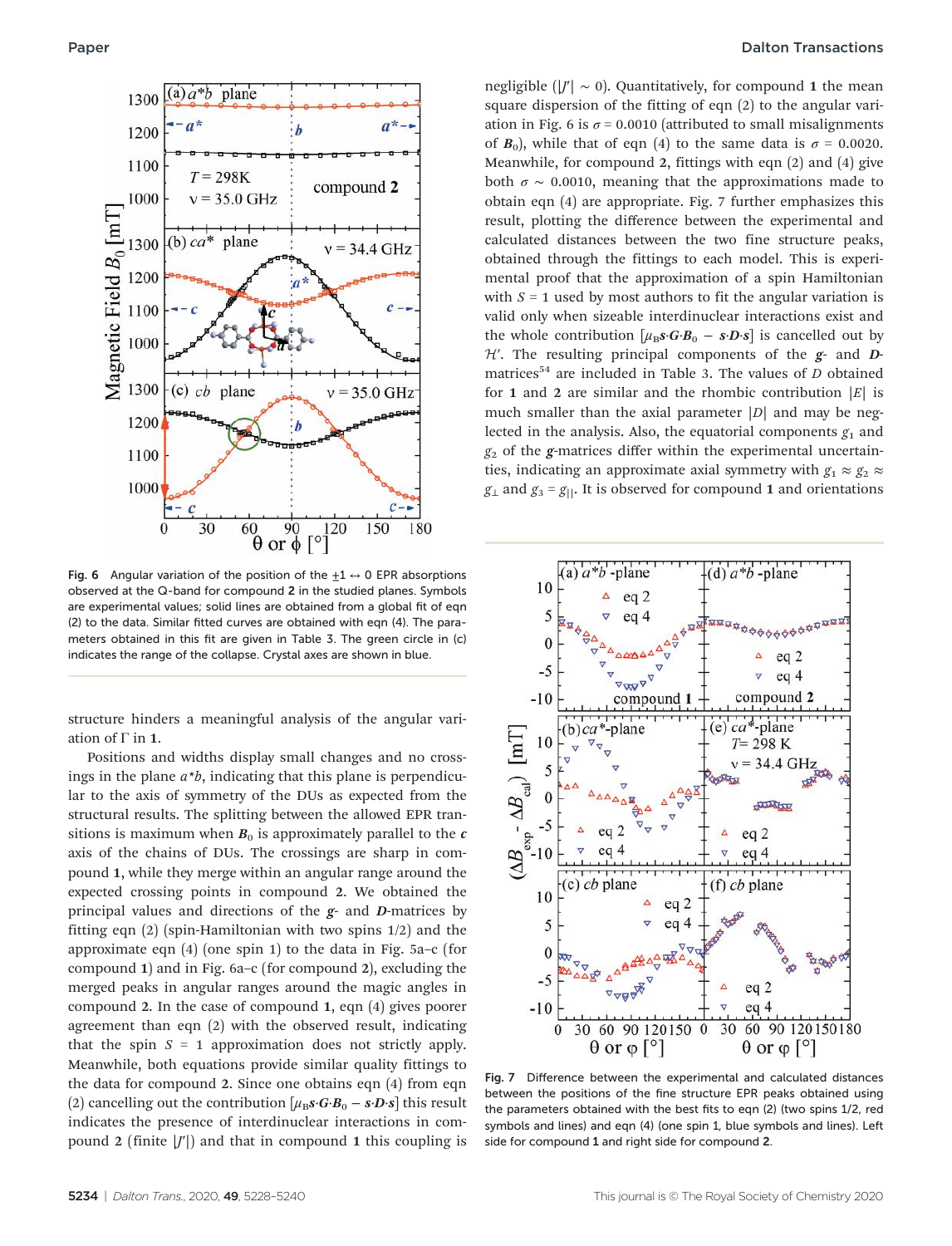

Fig. 6 Angular variation of the position of the  $\pm 1 \leftrightarrow 0$  EPR absorptions observed at the Q-band for compound 2 in the studied planes. Symbols are experimental values; solid lines are obtained from a global fit of eqn (2) to the data. Similar fitted curves are obtained with eqn (4). The parameters obtained in this fit are given in Table 3. The green circle in (c) indicates the range of the collapse. Crystal axes are shown in blue.

structure hinders a meaningful analysis of the angular variation of Γ in 1.

Positions and widths display small changes and no crossings in the plane  $a * b$ , indicating that this plane is perpendicular to the axis of symmetry of the DUs as expected from the structural results. The splitting between the allowed EPR transitions is maximum when  $B_0$  is approximately parallel to the  $c$ axis of the chains of DUs. The crossings are sharp in compound 1, while they merge within an angular range around the expected crossing points in compound 2. We obtained the principal values and directions of the g- and D-matrices by fitting eqn (2) (spin-Hamiltonian with two spins 1/2) and the approximate eqn (4) (one spin 1) to the data in Fig. 5a–c (for compound 1) and in Fig. 6a–c (for compound 2), excluding the merged peaks in angular ranges around the magic angles in compound 2. In the case of compound 1, eqn (4) gives poorer agreement than eqn (2) with the observed result, indicating that the spin  $S = 1$  approximation does not strictly apply. Meanwhile, both equations provide similar quality fittings to the data for compound 2. Since one obtains eqn (4) from eqn (2) cancelling out the contribution  $[\mu_B s \cdot G \cdot B_0 - s \cdot D \cdot s]$  this result indicates the presence of interdinuclear interactions in compound 2 (finite  $|J'|$ ) and that in compound 1 this coupling is

#### Paper Dalton Transactions

negligible ( $|J'| \sim 0$ ). Quantitatively, for compound 1 the mean square dispersion of the fitting of eqn (2) to the angular variation in Fig. 6 is  $\sigma$  = 0.0010 (attributed to small misalignments of  $B_0$ ), while that of eqn (4) to the same data is  $\sigma = 0.0020$ . Meanwhile, for compound 2, fittings with eqn (2) and (4) give both  $\sigma \sim 0.0010$ , meaning that the approximations made to obtain eqn (4) are appropriate. Fig. 7 further emphasizes this result, plotting the difference between the experimental and calculated distances between the two fine structure peaks, obtained through the fittings to each model. This is experimental proof that the approximation of a spin Hamiltonian with  $S = 1$  used by most authors to fit the angular variation is valid only when sizeable interdinuclear interactions exist and the whole contribution  $[\mu_B s \cdot G \cdot B_0 - s \cdot D \cdot s]$  is cancelled out by  $H'$ . The resulting principal components of the  $g$ - and  $D$ matrices<sup>54</sup> are included in Table 3. The values of  $D$  obtained for 1 and 2 are similar and the rhombic contribution  $|E|$  is much smaller than the axial parameter  $|D|$  and may be neglected in the analysis. Also, the equatorial components  $g_1$  and  $g_2$  of the g-matrices differ within the experimental uncertainties, indicating an approximate axial symmetry with  $g_1 \approx g_2 \approx$  $g_{\perp}$  and  $g_3 = g_{||}$ . It is observed for compound 1 and orientations



Fig. 7 Difference between the experimental and calculated distances between the positions of the fine structure EPR peaks obtained using the parameters obtained with the best fits to eqn (2) (two spins 1/2, red symbols and lines) and eqn (4) (one spin 1, blue symbols and lines). Left side for compound 1 and right side for compound 2.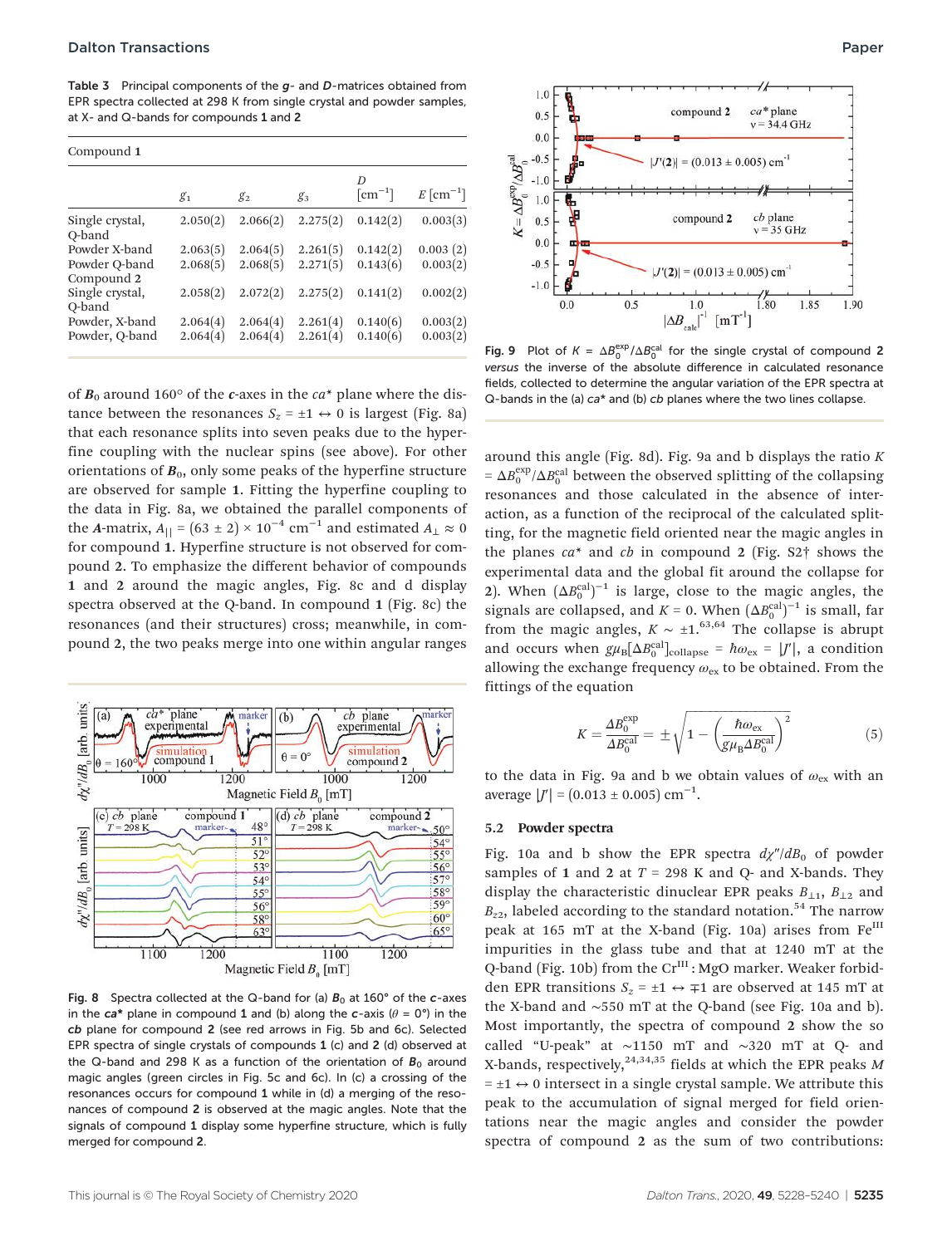#### Dalton Transactions Paper

Table 3 Principal components of the  $g$ - and  $D$ -matrices obtained from EPR spectra collected at 298 K from single crystal and powder samples, at X- and Q-bands for compounds 1 and 2

| Compound 1                  |          |          |          |                                         |                      |
|-----------------------------|----------|----------|----------|-----------------------------------------|----------------------|
|                             | $g_1$    | $g_2$    | $g_3$    | D<br>$\lceil$ cm <sup>-1</sup> $\rceil$ | $E \text{ [cm}^{-1}$ |
| Single crystal,<br>O-band   | 2.050(2) | 2.066(2) | 2.275(2) | 0.142(2)                                | 0.003(3)             |
| Powder X-band               | 2.063(5) | 2.064(5) | 2.261(5) | 0.142(2)                                | 0.003(2)             |
| Powder O-band<br>Compound 2 | 2.068(5) | 2.068(5) | 2.271(5) | 0.143(6)                                | 0.003(2)             |
| Single crystal,<br>O-band   | 2.058(2) | 2.072(2) | 2.275(2) | 0.141(2)                                | 0.002(2)             |
| Powder, X-band              | 2.064(4) | 2.064(4) | 2.261(4) | 0.140(6)                                | 0.003(2)             |
| Powder, O-band              | 2.064(4) | 2.064(4) | 2.261(4) | 0.140(6)                                | 0.003(2)             |

of  $B_0$  around 160° of the c-axes in the  $ca^*$  plane where the distance between the resonances  $S_z = \pm 1 \leftrightarrow 0$  is largest (Fig. 8a) that each resonance splits into seven peaks due to the hyperfine coupling with the nuclear spins (see above). For other orientations of  $B_0$ , only some peaks of the hyperfine structure are observed for sample 1. Fitting the hyperfine coupling to the data in Fig. 8a, we obtained the parallel components of the A-matrix,  $A_{||} = (63 \pm 2) \times 10^{-4}$  cm<sup>-1</sup> and estimated  $A_{\perp} \approx 0$ for compound 1. Hyperfine structure is not observed for compound 2. To emphasize the different behavior of compounds 1 and 2 around the magic angles, Fig. 8c and d display spectra observed at the Q-band. In compound 1 (Fig. 8c) the resonances (and their structures) cross; meanwhile, in compound 2, the two peaks merge into one within angular ranges



Fig. 8 Spectra collected at the Q-band for (a)  $B_0$  at 160° of the c-axes in the ca\* plane in compound 1 and (b) along the c-axis ( $\theta = 0^{\circ}$ ) in the cb plane for compound <sup>2</sup> (see red arrows in Fig. 5b and 6c). Selected EPR spectra of single crystals of compounds 1 (c) and 2 (d) observed at the Q-band and 298 K as a function of the orientation of  $B_0$  around magic angles (green circles in Fig. 5c and 6c). In (c) a crossing of the resonances occurs for compound 1 while in (d) a merging of the resonances of compound 2 is observed at the magic angles. Note that the signals of compound 1 display some hyperfine structure, which is fully merged for compound 2.



Fig. 9 Plot of  $K = \Delta B_0^{\text{exp}} / \Delta B_0^{\text{cal}}$  for the single crystal of compound 2 versus the inverse of the absolute difference in calculated resonance fields, collected to determine the angular variation of the EPR spectra at Q-bands in the (a) ca\* and (b) cb planes where the two lines collapse.

around this angle (Fig. 8d). Fig. 9a and b displays the ratio  $K$ =  $\Delta B_0^{\text{exp}}/\Delta B_0^{\text{cal}}$  between the observed splitting of the collapsing resonances and those calculated in the absence of interaction, as a function of the reciprocal of the calculated splitting, for the magnetic field oriented near the magic angles in the planes  $ca^*$  and cb in compound 2 (Fig. S2† shows the experimental data and the global fit around the collapse for 2). When  $(\Delta B_0^{\text{cal}})^{-1}$  is large, close to the magic angles, the signals are collapsed, and  $K = 0$ . When  $(\Delta B_0^{\text{cal}})^{-1}$  is small, far from the magic angles,  $K \sim \pm 1.63,64$  The collapse is abrupt and occurs when  $g\mu_B[\Delta B_0^{\text{cal}}]_{\text{collapse}} = \hbar \omega_{\text{ex}} = |J'|$ , a condition allowing the exchange frequency  $\omega_{\text{ex}}$  to be obtained. From the fittings of the equation

$$
K = \frac{\Delta B_0^{\text{exp}}}{\Delta B_0^{\text{cal}}} = \pm \sqrt{1 - \left(\frac{\hbar \omega_{\text{ex}}}{g \mu_{\text{B}} \Delta B_0^{\text{cal}}}\right)^2}
$$
(5)

to the data in Fig. 9a and b we obtain values of  $\omega_{\text{ex}}$  with an average  $|J'| = (0.013 \pm 0.005)$  cm<sup>-1</sup>.

#### 5.2 Powder spectra

Fig. 10a and b show the EPR spectra  $d\chi''/dB_0$  of powder samples of 1 and 2 at  $T = 298$  K and Q- and X-bands. They display the characteristic dinuclear EPR peaks  $B_{11}$ ,  $B_{12}$  and  $B_{z2}$ , labeled according to the standard notation.<sup>54</sup> The narrow peak at 165 mT at the X-band (Fig. 10a) arises from  $Fe<sup>III</sup>$ impurities in the glass tube and that at 1240 mT at the Q-band (Fig. 10b) from the  $Cr<sup>III</sup>$ : MgO marker. Weaker forbidden EPR transitions  $S_z = \pm 1 \leftrightarrow \mp 1$  are observed at 145 mT at the X-band and ∼550 mT at the Q-band (see Fig. 10a and b). Most importantly, the spectra of compound 2 show the so called "U-peak" at ∼1150 mT and ∼320 mT at Q- and X-bands, respectively,<sup>24,34,35</sup> fields at which the EPR peaks  $M$  $= \pm 1 \leftrightarrow 0$  intersect in a single crystal sample. We attribute this peak to the accumulation of signal merged for field orientations near the magic angles and consider the powder spectra of compound 2 as the sum of two contributions: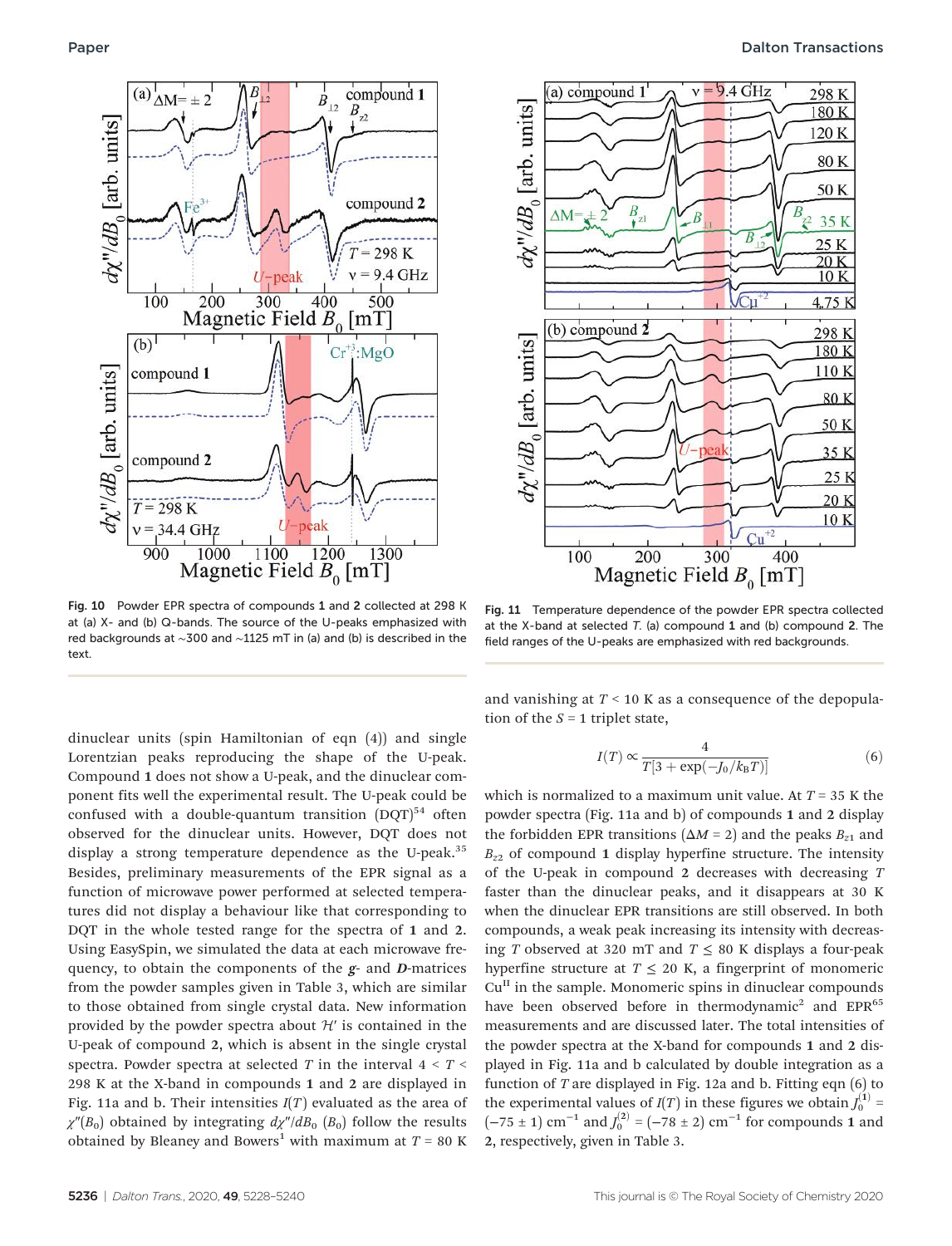

Fig. 10 Powder EPR spectra of compounds 1 and 2 collected at 298 K at (a) X- and (b) Q-bands. The source of the U-peaks emphasized with red backgrounds at ∼300 and ∼1125 mT in (a) and (b) is described in the text.

dinuclear units (spin Hamiltonian of eqn (4)) and single Lorentzian peaks reproducing the shape of the U-peak. Compound 1 does not show a U-peak, and the dinuclear component fits well the experimental result. The U-peak could be confused with a double-quantum transition  $(DQT)^{54}$  often observed for the dinuclear units. However, DQT does not display a strong temperature dependence as the U-peak. $35$ Besides, preliminary measurements of the EPR signal as a function of microwave power performed at selected temperatures did not display a behaviour like that corresponding to DQT in the whole tested range for the spectra of 1 and 2. Using EasySpin, we simulated the data at each microwave frequency, to obtain the components of the  $g$ - and  $D$ -matrices from the powder samples given in Table 3, which are similar to those obtained from single crystal data. New information provided by the powder spectra about  $\mathcal{H}'$  is contained in the U-peak of compound 2, which is absent in the single crystal spectra. Powder spectra at selected  $T$  in the interval  $4 < T <$ 298 K at the X-band in compounds 1 and 2 are displayed in Fig. 11a and b. Their intensities  $I(T)$  evaluated as the area of  $\chi''(B_0)$  obtained by integrating  $d\chi''/dB_0$  ( $B_0$ ) follow the results obtained by Bleaney and Bowers<sup>1</sup> with maximum at  $T = 80$  K



Fig. 11 Temperature dependence of the powder EPR spectra collected at the X-band at selected  $T$ . (a) compound 1 and (b) compound 2. The field ranges of the U-peaks are emphasized with red backgrounds.

and vanishing at  $T < 10$  K as a consequence of the depopulation of the  $S = 1$  triplet state,

$$
I(T) \propto \frac{4}{T[3 + \exp(-J_0/k_\text{B}T)]} \tag{6}
$$

which is normalized to a maximum unit value. At  $T = 35$  K the powder spectra (Fig. 11a and b) of compounds 1 and 2 display the forbidden EPR transitions ( $\Delta M = 2$ ) and the peaks  $B_{z1}$  and  $B_{z2}$  of compound 1 display hyperfine structure. The intensity of the U-peak in compound 2 decreases with decreasing T faster than the dinuclear peaks, and it disappears at 30 K when the dinuclear EPR transitions are still observed. In both compounds, a weak peak increasing its intensity with decreasing T observed at 320 mT and  $T \leq 80$  K displays a four-peak hyperfine structure at  $T \leq 20$  K, a fingerprint of monomeric  $Cu<sup>H</sup>$  in the sample. Monomeric spins in dinuclear compounds have been observed before in thermodynamic<sup>2</sup> and  $EPR^{65}$ measurements and are discussed later. The total intensities of the powder spectra at the X-band for compounds 1 and 2 displayed in Fig. 11a and b calculated by double integration as a function of  $T$  are displayed in Fig. 12a and b. Fitting eqn  $(6)$  to the experimental values of  $I(T)$  in these figures we obtain  $J_0^{(1)}$  =  $(-75 \pm 1)$  cm<sup>-1</sup> and  $J_0^{(2)} = (-78 \pm 2)$  cm<sup>-1</sup> for compounds 1 and 2, respectively, given in Table 3.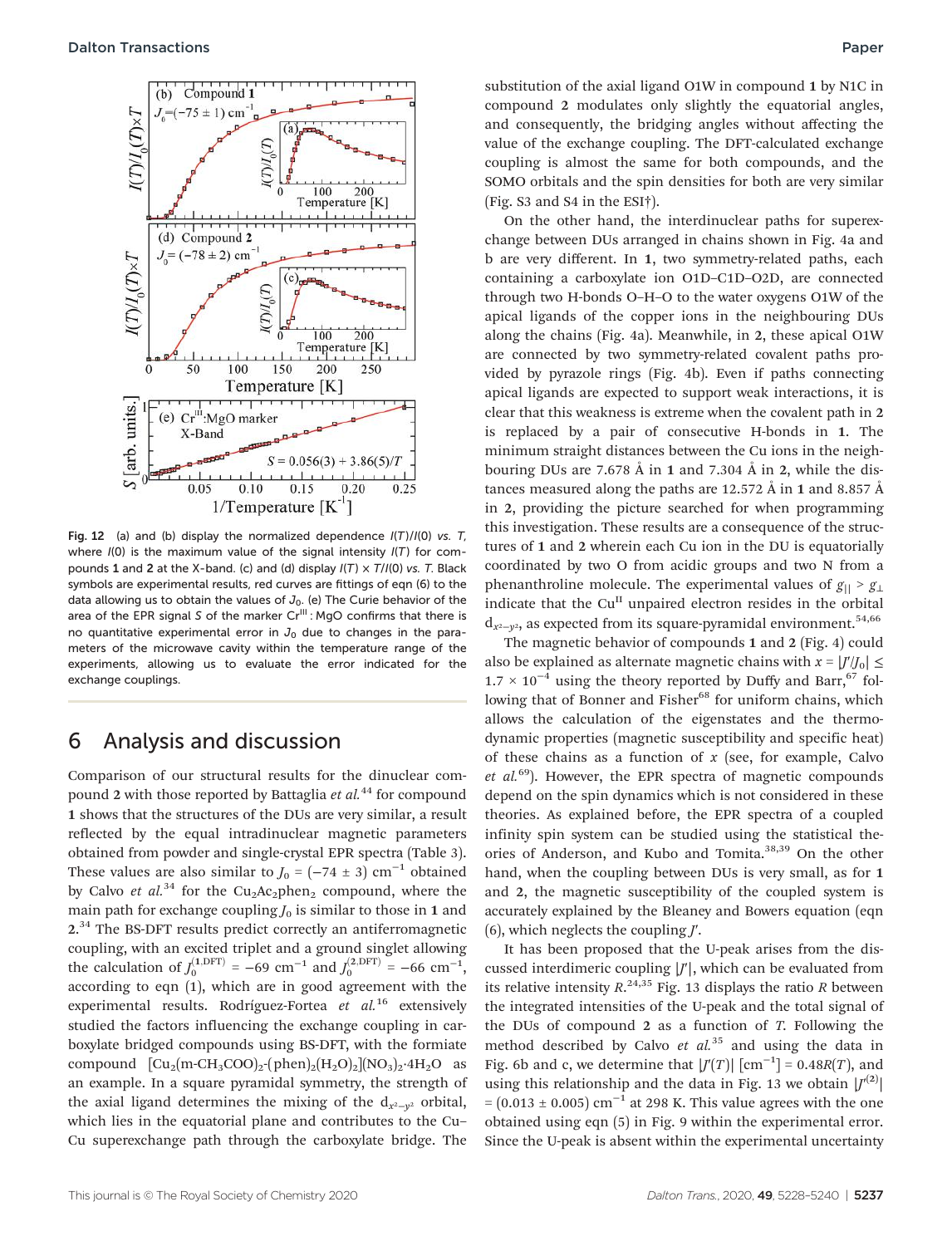

Fig. 12 (a) and (b) display the normalized dependence  $I(T)/I(0)$  vs. T, where  $I(0)$  is the maximum value of the signal intensity  $I(T)$  for compounds 1 and 2 at the X-band. (c) and (d) display  $I(T) \times T/I(0)$  vs. T. Black symbols are experimental results, red curves are fittings of eqn (6) to the data allowing us to obtain the values of  $J_0$ . (e) The Curie behavior of the area of the EPR signal S of the marker  $Cr^{III}$  : MgO confirms that there is no quantitative experimental error in  $J_0$  due to changes in the parameters of the microwave cavity within the temperature range of the experiments, allowing us to evaluate the error indicated for the exchange couplings.

### 6 Analysis and discussion

Comparison of our structural results for the dinuclear compound 2 with those reported by Battaglia *et al.*<sup>44</sup> for compound 1 shows that the structures of the DUs are very similar, a result reflected by the equal intradinuclear magnetic parameters obtained from powder and single-crystal EPR spectra (Table 3). These values are also similar to  $J_0 = (-74 \pm 3)$  cm<sup>-1</sup> obtained by Calvo et al.<sup>34</sup> for the Cu<sub>2</sub>Ac<sub>2</sub>phen<sub>2</sub> compound, where the main path for exchange coupling  $J_0$  is similar to those in 1 and 2.<sup>34</sup> The BS-DFT results predict correctly an antiferromagnetic coupling, with an excited triplet and a ground singlet allowing the calculation of  $f_0^{(1,\text{DFT})} = -69 \text{ cm}^{-1}$  and  $f_0^{(2,\text{DFT})} = -66 \text{ cm}^{-1}$ , according to eqn (1), which are in good agreement with the experimental results. Rodríguez-Fortea et  $al.^{16}$  extensively studied the factors influencing the exchange coupling in carboxylate bridged compounds using BS-DFT, with the formiate compound  $\begin{bmatrix} Cu_2(m\text{-}CH_3COO)_2\text{-}(phen)_2(H_2O)_2] (NO_3)_2\text{-}4H_2O \end{bmatrix}$  as an example. In a square pyramidal symmetry, the strength of the axial ligand determines the mixing of the  $d_{x^2-y^2}$  orbital, which lies in the equatorial plane and contributes to the Cu– Cu superexchange path through the carboxylate bridge. The

substitution of the axial ligand O1W in compound 1 by N1C in compound 2 modulates only slightly the equatorial angles, and consequently, the bridging angles without affecting the value of the exchange coupling. The DFT-calculated exchange coupling is almost the same for both compounds, and the SOMO orbitals and the spin densities for both are very similar (Fig. S3 and S4 in the ESI†).

On the other hand, the interdinuclear paths for superexchange between DUs arranged in chains shown in Fig. 4a and b are very different. In 1, two symmetry-related paths, each containing a carboxylate ion O1D–C1D–O2D, are connected through two H-bonds O–H–O to the water oxygens O1W of the apical ligands of the copper ions in the neighbouring DUs along the chains (Fig. 4a). Meanwhile, in 2, these apical O1W are connected by two symmetry-related covalent paths provided by pyrazole rings (Fig. 4b). Even if paths connecting apical ligands are expected to support weak interactions, it is clear that this weakness is extreme when the covalent path in 2 is replaced by a pair of consecutive H-bonds in 1. The minimum straight distances between the Cu ions in the neighbouring DUs are 7.678 Å in 1 and 7.304 Å in 2, while the distances measured along the paths are 12.572  $\AA$  in 1 and 8.857  $\AA$ in 2, providing the picture searched for when programming this investigation. These results are a consequence of the structures of 1 and 2 wherein each Cu ion in the DU is equatorially coordinated by two O from acidic groups and two N from a phenanthroline molecule. The experimental values of  $g_{\parallel}$  >  $g_{\perp}$ indicate that the Cu<sup>II</sup> unpaired electron resides in the orbital  $d_{x^2-y^2}$ , as expected from its square-pyramidal environment.<sup>54,66</sup>

The magnetic behavior of compounds 1 and 2 (Fig. 4) could also be explained as alternate magnetic chains with  $x = |f|/|f_0| \le$  $1.7 \times 10^{-4}$  using the theory reported by Duffy and Barr,<sup>67</sup> following that of Bonner and Fisher<sup>68</sup> for uniform chains, which allows the calculation of the eigenstates and the thermodynamic properties (magnetic susceptibility and specific heat) of these chains as a function of  $x$  (see, for example, Calvo et  $al.^{69}$ ). However, the EPR spectra of magnetic compounds depend on the spin dynamics which is not considered in these theories. As explained before, the EPR spectra of a coupled infinity spin system can be studied using the statistical theories of Anderson, and Kubo and Tomita.<sup>38,39</sup> On the other hand, when the coupling between DUs is very small, as for 1 and 2, the magnetic susceptibility of the coupled system is accurately explained by the Bleaney and Bowers equation (eqn  $(6)$ , which neglects the coupling  $\Gamma$ .

It has been proposed that the U-peak arises from the discussed interdimeric coupling  $|J'|$ , which can be evaluated from its relative intensity  $R^{24,35}$  Fig. 13 displays the ratio R between the integrated intensities of the U-peak and the total signal of the DUs of compound  $2$  as a function of  $T$ . Following the method described by Calvo et  $al^{35}$  and using the data in Fig. 6b and c, we determine that  $|J'(T)|$   $[cm^{-1}] = 0.48R(T)$ , and using this relationship and the data in Fig. 13 we obtain  $|J^{(2)}|$  $= (0.013 \pm 0.005)$  cm<sup>-1</sup> at 298 K. This value agrees with the one obtained using eqn (5) in Fig. 9 within the experimental error. Since the U-peak is absent within the experimental uncertainty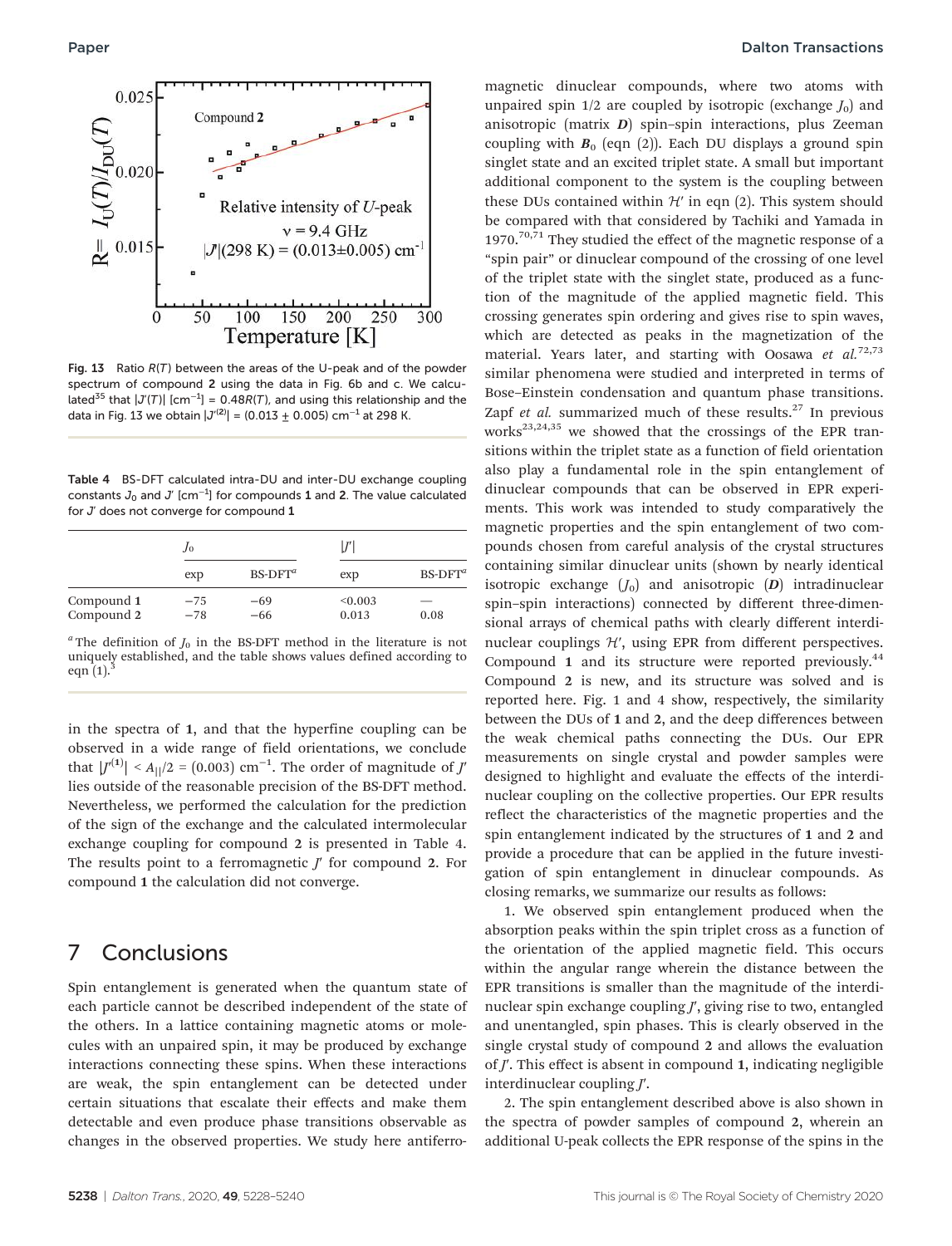

Fig. 13 Ratio  $R(T)$  between the areas of the U-peak and of the powder spectrum of compound 2 using the data in Fig. 6b and c. We calculated<sup>35</sup> that  $|J'(T)|$  [cm<sup>-1</sup>] = 0.48R(T), and using this relationship and the data in Fig. 13 we obtain  $|J'^{(2)}|$  = (0.013  $\pm$  0.005) cm $^{-1}$  at 298 K.

Table 4 BS-DFT calculated intra-DU and inter-DU exchange coupling constants  $J_0$  and  $J'$  [cm $^{-1}$ ] for compounds  ${\bf 1}$  and  ${\bf 2}$ . The value calculated for J' does not converge for compound 1

|                          | .Jo            |                | J'               |            |  |
|--------------------------|----------------|----------------|------------------|------------|--|
|                          | exp            | $BS-DFT^a$     | exp              | $BS-DFT^a$ |  |
| Compound 1<br>Compound 2 | $-75$<br>$-78$ | $-69$<br>$-66$ | < 0.003<br>0.013 | 0.08       |  |

<sup>a</sup>The definition of  $J_0$  in the BS-DFT method in the literature is not uniquely established, and the table shows values defined according to eqn  $(1)$ .

in the spectra of 1, and that the hyperfine coupling can be observed in a wide range of field orientations, we conclude that  $|J^{(1)}| < A_{||}/2 = (0.003) \text{ cm}^{-1}$ . The order of magnitude of  $J'$ lies outside of the reasonable precision of the BS-DFT method. Nevertheless, we performed the calculation for the prediction of the sign of the exchange and the calculated intermolecular exchange coupling for compound 2 is presented in Table 4. The results point to a ferromagnetic  $J'$  for compound 2. For compound 1 the calculation did not converge.

### 7 Conclusions

Spin entanglement is generated when the quantum state of each particle cannot be described independent of the state of the others. In a lattice containing magnetic atoms or molecules with an unpaired spin, it may be produced by exchange interactions connecting these spins. When these interactions are weak, the spin entanglement can be detected under certain situations that escalate their effects and make them detectable and even produce phase transitions observable as changes in the observed properties. We study here antiferro-

magnetic dinuclear compounds, where two atoms with unpaired spin  $1/2$  are coupled by isotropic (exchange  $J_0$ ) and anisotropic (matrix D) spin–spin interactions, plus Zeeman coupling with  $B_0$  (eqn (2)). Each DU displays a ground spin singlet state and an excited triplet state. A small but important additional component to the system is the coupling between these DUs contained within  $H'$  in eqn (2). This system should be compared with that considered by Tachiki and Yamada in  $1970.^{70,71}$  They studied the effect of the magnetic response of a "spin pair" or dinuclear compound of the crossing of one level of the triplet state with the singlet state, produced as a function of the magnitude of the applied magnetic field. This crossing generates spin ordering and gives rise to spin waves, which are detected as peaks in the magnetization of the material. Years later, and starting with Oosawa et  $al.$ <sup>72,73</sup> similar phenomena were studied and interpreted in terms of Bose–Einstein condensation and quantum phase transitions. Zapf *et al.* summarized much of these results.<sup>27</sup> In previous works $^{23,24,35}$  we showed that the crossings of the EPR transitions within the triplet state as a function of field orientation also play a fundamental role in the spin entanglement of dinuclear compounds that can be observed in EPR experiments. This work was intended to study comparatively the magnetic properties and the spin entanglement of two compounds chosen from careful analysis of the crystal structures containing similar dinuclear units (shown by nearly identical isotropic exchange  $(J_0)$  and anisotropic  $(D)$  intradinuclear spin–spin interactions) connected by different three-dimensional arrays of chemical paths with clearly different interdinuclear couplings  $H'$ , using EPR from different perspectives. Compound 1 and its structure were reported previously.<sup>44</sup> Compound 2 is new, and its structure was solved and is reported here. Fig. 1 and 4 show, respectively, the similarity between the DUs of 1 and 2, and the deep differences between the weak chemical paths connecting the DUs. Our EPR measurements on single crystal and powder samples were designed to highlight and evaluate the effects of the interdinuclear coupling on the collective properties. Our EPR results reflect the characteristics of the magnetic properties and the spin entanglement indicated by the structures of 1 and 2 and provide a procedure that can be applied in the future investigation of spin entanglement in dinuclear compounds. As closing remarks, we summarize our results as follows:

1. We observed spin entanglement produced when the absorption peaks within the spin triplet cross as a function of the orientation of the applied magnetic field. This occurs within the angular range wherein the distance between the EPR transitions is smaller than the magnitude of the interdinuclear spin exchange coupling *J'*, giving rise to two, entangled and unentangled, spin phases. This is clearly observed in the single crystal study of compound 2 and allows the evaluation of J′. This effect is absent in compound 1, indicating negligible interdinuclear coupling J′.

2. The spin entanglement described above is also shown in the spectra of powder samples of compound 2, wherein an additional U-peak collects the EPR response of the spins in the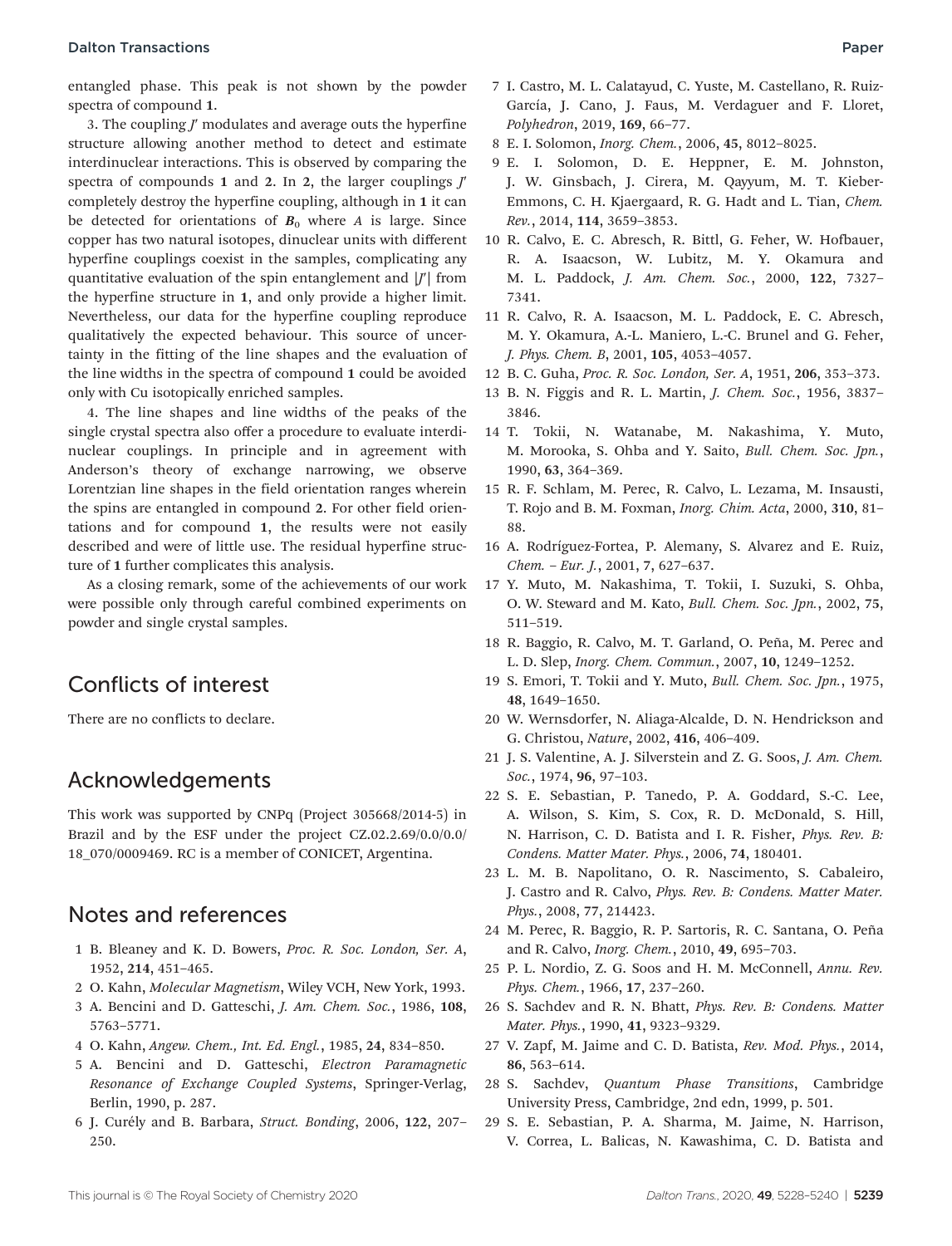entangled phase. This peak is not shown by the powder spectra of compound 1.

3. The coupling *J'* modulates and average outs the hyperfine structure allowing another method to detect and estimate interdinuclear interactions. This is observed by comparing the spectra of compounds 1 and 2. In 2, the larger couplings  $\bar{I}$ completely destroy the hyperfine coupling, although in 1 it can be detected for orientations of  $B_0$  where A is large. Since copper has two natural isotopes, dinuclear units with different hyperfine couplings coexist in the samples, complicating any quantitative evaluation of the spin entanglement and  $|J|$  from the hyperfine structure in 1, and only provide a higher limit. Nevertheless, our data for the hyperfine coupling reproduce qualitatively the expected behaviour. This source of uncertainty in the fitting of the line shapes and the evaluation of the line widths in the spectra of compound 1 could be avoided only with Cu isotopically enriched samples.

4. The line shapes and line widths of the peaks of the single crystal spectra also offer a procedure to evaluate interdinuclear couplings. In principle and in agreement with Anderson's theory of exchange narrowing, we observe Lorentzian line shapes in the field orientation ranges wherein the spins are entangled in compound 2. For other field orientations and for compound 1, the results were not easily described and were of little use. The residual hyperfine structure of 1 further complicates this analysis.

As a closing remark, some of the achievements of our work were possible only through careful combined experiments on powder and single crystal samples.

# Conflicts of interest

There are no conflicts to declare.

# Acknowledgements

This work was supported by CNPq (Project 305668/2014-5) in Brazil and by the ESF under the project  $CZ.02.2.69/0.0/0.0/$ 18\_070/0009469. RC is a member of CONICET, Argentina.

### Notes and references

- 1 B. Bleaney and K. D. Bowers, Proc. R. Soc. London, Ser. A, 1952, 214, 451–465.
- 2 O. Kahn, Molecular Magnetism, Wiley VCH, New York, 1993.
- 3 A. Bencini and D. Gatteschi, J. Am. Chem. Soc., 1986, 108, 5763–5771.
- 4 O. Kahn, Angew. Chem., Int. Ed. Engl., 1985, 24, 834–850.
- 5 A. Bencini and D. Gatteschi, Electron Paramagnetic Resonance of Exchange Coupled Systems, Springer-Verlag, Berlin, 1990, p. 287.
- 6 J. Curély and B. Barbara, Struct. Bonding, 2006, 122, 207– 250.
- 7 I. Castro, M. L. Calatayud, C. Yuste, M. Castellano, R. Ruiz-García, J. Cano, J. Faus, M. Verdaguer and F. Lloret, Polyhedron, 2019, 169, 66–77.
- 8 E. I. Solomon, Inorg. Chem., 2006, 45, 8012–8025.
- 9 E. I. Solomon, D. E. Heppner, E. M. Johnston, J. W. Ginsbach, J. Cirera, M. Qayyum, M. T. Kieber-Emmons, C. H. Kjaergaard, R. G. Hadt and L. Tian, Chem. Rev., 2014, 114, 3659–3853.
- 10 R. Calvo, E. C. Abresch, R. Bittl, G. Feher, W. Hofbauer, R. A. Isaacson, W. Lubitz, M. Y. Okamura and M. L. Paddock, J. Am. Chem. Soc., 2000, 122, 7327– 7341.
- 11 R. Calvo, R. A. Isaacson, M. L. Paddock, E. C. Abresch, M. Y. Okamura, A.-L. Maniero, L.-C. Brunel and G. Feher, J. Phys. Chem. B, 2001, 105, 4053–4057.
- 12 B. C. Guha, Proc. R. Soc. London, Ser. A, 1951, 206, 353–373.
- 13 B. N. Figgis and R. L. Martin, J. Chem. Soc., 1956, 3837– 3846.
- 14 T. Tokii, N. Watanabe, M. Nakashima, Y. Muto, M. Morooka, S. Ohba and Y. Saito, Bull. Chem. Soc. Jpn., 1990, 63, 364–369.
- 15 R. F. Schlam, M. Perec, R. Calvo, L. Lezama, M. Insausti, T. Rojo and B. M. Foxman, Inorg. Chim. Acta, 2000, 310, 81– 88.
- 16 A. Rodríguez-Fortea, P. Alemany, S. Alvarez and E. Ruiz, Chem. – Eur. J., 2001, 7, 627–637.
- 17 Y. Muto, M. Nakashima, T. Tokii, I. Suzuki, S. Ohba, O. W. Steward and M. Kato, Bull. Chem. Soc. Jpn., 2002, 75, 511–519.
- 18 R. Baggio, R. Calvo, M. T. Garland, O. Peña, M. Perec and L. D. Slep, Inorg. Chem. Commun., 2007, 10, 1249–1252.
- 19 S. Emori, T. Tokii and Y. Muto, Bull. Chem. Soc. Jpn., 1975, 48, 1649–1650.
- 20 W. Wernsdorfer, N. Aliaga-Alcalde, D. N. Hendrickson and G. Christou, Nature, 2002, 416, 406–409.
- 21 J. S. Valentine, A. J. Silverstein and Z. G. Soos, J. Am. Chem. Soc., 1974, 96, 97–103.
- 22 S. E. Sebastian, P. Tanedo, P. A. Goddard, S.-C. Lee, A. Wilson, S. Kim, S. Cox, R. D. McDonald, S. Hill, N. Harrison, C. D. Batista and I. R. Fisher, Phys. Rev. B: Condens. Matter Mater. Phys., 2006, 74, 180401.
- 23 L. M. B. Napolitano, O. R. Nascimento, S. Cabaleiro, J. Castro and R. Calvo, Phys. Rev. B: Condens. Matter Mater. Phys., 2008, 77, 214423.
- 24 M. Perec, R. Baggio, R. P. Sartoris, R. C. Santana, O. Peña and R. Calvo, Inorg. Chem., 2010, 49, 695–703.
- 25 P. L. Nordio, Z. G. Soos and H. M. McConnell, Annu. Rev. Phys. Chem., 1966, 17, 237–260.
- 26 S. Sachdev and R. N. Bhatt, Phys. Rev. B: Condens. Matter Mater. Phys., 1990, 41, 9323–9329.
- 27 V. Zapf, M. Jaime and C. D. Batista, Rev. Mod. Phys., 2014, 86, 563–614.
- 28 S. Sachdev, Quantum Phase Transitions, Cambridge University Press, Cambridge, 2nd edn, 1999, p. 501.
- 29 S. E. Sebastian, P. A. Sharma, M. Jaime, N. Harrison, V. Correa, L. Balicas, N. Kawashima, C. D. Batista and